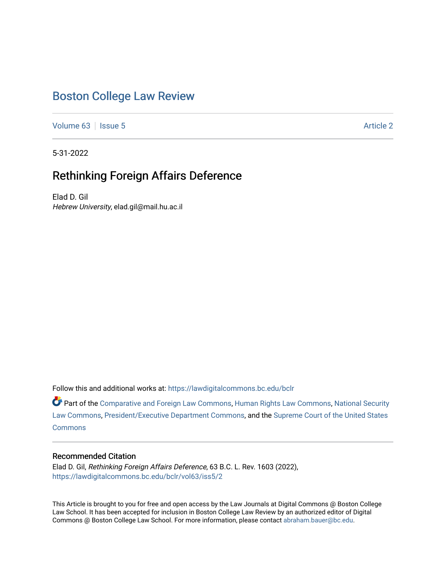# [Boston College Law Review](https://lawdigitalcommons.bc.edu/bclr)

[Volume 63](https://lawdigitalcommons.bc.edu/bclr/vol63) | [Issue 5](https://lawdigitalcommons.bc.edu/bclr/vol63/iss5) Article 2

5-31-2022

# Rethinking Foreign Affairs Deference

Elad D. Gil Hebrew University, elad.gil@mail.hu.ac.il

Follow this and additional works at: [https://lawdigitalcommons.bc.edu/bclr](https://lawdigitalcommons.bc.edu/bclr?utm_source=lawdigitalcommons.bc.edu%2Fbclr%2Fvol63%2Fiss5%2F2&utm_medium=PDF&utm_campaign=PDFCoverPages) 

Part of the [Comparative and Foreign Law Commons,](https://network.bepress.com/hgg/discipline/836?utm_source=lawdigitalcommons.bc.edu%2Fbclr%2Fvol63%2Fiss5%2F2&utm_medium=PDF&utm_campaign=PDFCoverPages) [Human Rights Law Commons,](https://network.bepress.com/hgg/discipline/847?utm_source=lawdigitalcommons.bc.edu%2Fbclr%2Fvol63%2Fiss5%2F2&utm_medium=PDF&utm_campaign=PDFCoverPages) [National Security](https://network.bepress.com/hgg/discipline/1114?utm_source=lawdigitalcommons.bc.edu%2Fbclr%2Fvol63%2Fiss5%2F2&utm_medium=PDF&utm_campaign=PDFCoverPages)  [Law Commons,](https://network.bepress.com/hgg/discipline/1114?utm_source=lawdigitalcommons.bc.edu%2Fbclr%2Fvol63%2Fiss5%2F2&utm_medium=PDF&utm_campaign=PDFCoverPages) [President/Executive Department Commons,](https://network.bepress.com/hgg/discipline/1118?utm_source=lawdigitalcommons.bc.edu%2Fbclr%2Fvol63%2Fiss5%2F2&utm_medium=PDF&utm_campaign=PDFCoverPages) and the [Supreme Court of the United States](https://network.bepress.com/hgg/discipline/1350?utm_source=lawdigitalcommons.bc.edu%2Fbclr%2Fvol63%2Fiss5%2F2&utm_medium=PDF&utm_campaign=PDFCoverPages)  **[Commons](https://network.bepress.com/hgg/discipline/1350?utm_source=lawdigitalcommons.bc.edu%2Fbclr%2Fvol63%2Fiss5%2F2&utm_medium=PDF&utm_campaign=PDFCoverPages)** 

## Recommended Citation

Elad D. Gil, Rethinking Foreign Affairs Deference, 63 B.C. L. Rev. 1603 (2022), [https://lawdigitalcommons.bc.edu/bclr/vol63/iss5/2](https://lawdigitalcommons.bc.edu/bclr/vol63/iss5/2?utm_source=lawdigitalcommons.bc.edu%2Fbclr%2Fvol63%2Fiss5%2F2&utm_medium=PDF&utm_campaign=PDFCoverPages) 

This Article is brought to you for free and open access by the Law Journals at Digital Commons @ Boston College Law School. It has been accepted for inclusion in Boston College Law Review by an authorized editor of Digital Commons @ Boston College Law School. For more information, please contact [abraham.bauer@bc.edu.](mailto:abraham.bauer@bc.edu)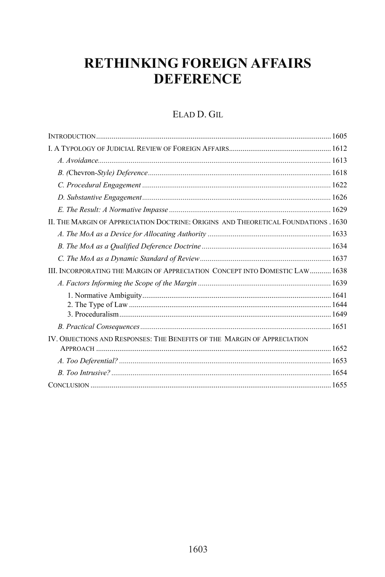# **RETHINKING FOREIGN AFFAIRS DEFERENCE**

## ELAD D. GIL

| II. THE MARGIN OF APPRECIATION DOCTRINE: ORIGINS AND THEORETICAL FOUNDATIONS . 1630 |  |
|-------------------------------------------------------------------------------------|--|
|                                                                                     |  |
|                                                                                     |  |
|                                                                                     |  |
| III. INCORPORATING THE MARGIN OF APPRECIATION CONCEPT INTO DOMESTIC LAW  1638       |  |
|                                                                                     |  |
|                                                                                     |  |
|                                                                                     |  |
|                                                                                     |  |
|                                                                                     |  |
| IV. OBJECTIONS AND RESPONSES: THE BENEFITS OF THE MARGIN OF APPRECIATION            |  |
|                                                                                     |  |
|                                                                                     |  |
|                                                                                     |  |
|                                                                                     |  |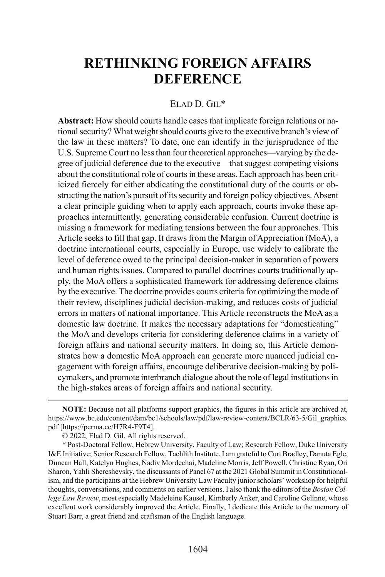# **RETHINKING FOREIGN AFFAIRS DEFERENCE**

#### ELAD D. GIL\*

**Abstract:** How should courts handle cases that implicate foreign relations or national security? What weight should courts give to the executive branch's view of the law in these matters? To date, one can identify in the jurisprudence of the U.S. Supreme Court no less than four theoretical approaches—varying by the degree of judicial deference due to the executive—that suggest competing visions about the constitutional role of courts in these areas. Each approach has been criticized fiercely for either abdicating the constitutional duty of the courts or obstructing the nation's pursuit of its security and foreign policy objectives. Absent a clear principle guiding when to apply each approach, courts invoke these approaches intermittently, generating considerable confusion. Current doctrine is missing a framework for mediating tensions between the four approaches. This Article seeks to fill that gap. It draws from the Margin of Appreciation (MoA), a doctrine international courts, especially in Europe, use widely to calibrate the level of deference owed to the principal decision-maker in separation of powers and human rights issues. Compared to parallel doctrines courts traditionally apply, the MoA offers a sophisticated framework for addressing deference claims by the executive. The doctrine provides courts criteria for optimizing the mode of their review, disciplines judicial decision-making, and reduces costs of judicial errors in matters of national importance. This Article reconstructs the MoA as a domestic law doctrine. It makes the necessary adaptations for "domesticating" the MoA and develops criteria for considering deference claims in a variety of foreign affairs and national security matters. In doing so, this Article demonstrates how a domestic MoA approach can generate more nuanced judicial engagement with foreign affairs, encourage deliberative decision-making by policymakers, and promote interbranch dialogue about the role of legal institutions in the high-stakes areas of foreign affairs and national security.

 $\overline{a}$ 

**NOTE:** Because not all platforms support graphics, the figures in this article are archived at, https://www.bc.edu/content/dam/bc1/schools/law/pdf/law-review-content/BCLR/63-5/Gil\_graphics. pdf [https://perma.cc/H7R4-F9T4].

<sup>© 2022,</sup> Elad D. Gil. All rights reserved.

<sup>\*</sup> Post-Doctoral Fellow, Hebrew University, Faculty of Law; Research Fellow, Duke University I&E Initiative; Senior Research Fellow, Tachlith Institute. I am grateful to Curt Bradley, Danuta Egle, Duncan Hall, Katelyn Hughes, Nadiv Mordechai, Madeline Morris, Jeff Powell, Christine Ryan, Ori Sharon, Yahli Shereshevsky, the discussants of Panel 67 at the 2021 Global Summit in Constitutionalism, and the participants at the Hebrew University Law Faculty junior scholars' workshop for helpful thoughts, conversations, and comments on earlier versions. I also thank the editors of the *Boston College Law Review*, most especially Madeleine Kausel, Kimberly Anker, and Caroline Gelinne, whose excellent work considerably improved the Article. Finally, I dedicate this Article to the memory of Stuart Barr, a great friend and craftsman of the English language.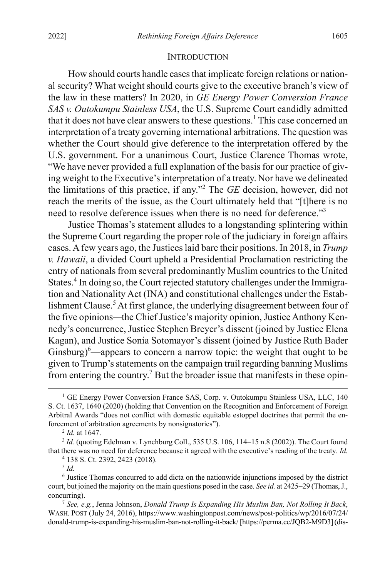#### **INTRODUCTION**

How should courts handle cases that implicate foreign relations or national security? What weight should courts give to the executive branch's view of the law in these matters? In 2020, in *GE Energy Power Conversion France SAS v. Outokumpu Stainless USA*, the U.S. Supreme Court candidly admitted that it does not have clear answers to these questions.<sup>1</sup> This case concerned an interpretation of a treaty governing international arbitrations. The question was whether the Court should give deference to the interpretation offered by the U.S. government. For a unanimous Court, Justice Clarence Thomas wrote, "We have never provided a full explanation of the basis for our practice of giving weight to the Executive's interpretation of a treaty. Nor have we delineated the limitations of this practice, if any."2 The *GE* decision, however, did not reach the merits of the issue, as the Court ultimately held that "[t]here is no need to resolve deference issues when there is no need for deference."<sup>3</sup>

Justice Thomas's statement alludes to a longstanding splintering within the Supreme Court regarding the proper role of the judiciary in foreign affairs cases. A few years ago, the Justices laid bare their positions. In 2018, in *Trump v. Hawaii*, a divided Court upheld a Presidential Proclamation restricting the entry of nationals from several predominantly Muslim countries to the United States. <sup>4</sup> In doing so, the Court rejected statutory challenges under the Immigration and Nationality Act (INA) and constitutional challenges under the Establishment Clause.<sup>5</sup> At first glance, the underlying disagreement between four of the five opinions*—*the Chief Justice's majority opinion, Justice Anthony Kennedy's concurrence, Justice Stephen Breyer's dissent (joined by Justice Elena Kagan), and Justice Sonia Sotomayor's dissent (joined by Justice Ruth Bader Ginsburg) $^6$ —appears to concern a narrow topic: the weight that ought to be given to Trump's statements on the campaign trail regarding banning Muslims from entering the country.<sup>7</sup> But the broader issue that manifests in these opin-

<sup>5</sup> *Id.*

<sup>&</sup>lt;sup>1</sup> GE Energy Power Conversion France SAS, Corp. v. Outokumpu Stainless USA, LLC, 140 S. Ct. 1637, 1640 (2020) (holding that Convention on the Recognition and Enforcement of Foreign Arbitral Awards "does not conflict with domestic equitable estoppel doctrines that permit the enforcement of arbitration agreements by nonsignatories").

<sup>2</sup> *Id.* at 1647.

<sup>&</sup>lt;sup>3</sup> *Id.* (quoting Edelman v. Lynchburg Coll., 535 U.S. 106, 114–15 n.8 (2002)). The Court found that there was no need for deference because it agreed with the executive's reading of the treaty. *Id.*

<sup>4</sup> 138 S. Ct. 2392, 2423 (2018).

<sup>6</sup> Justice Thomas concurred to add dicta on the nationwide injunctions imposed by the district court, but joined the majority on the main questions posed in the case. *See id.* at 2425−29 (Thomas, J., concurring).

<sup>7</sup> *See, e.g.*, Jenna Johnson, *Donald Trump Is Expanding His Muslim Ban, Not Rolling It Back*, WASH. POST (July 24, 2016), https://www.washingtonpost.com/news/post-politics/wp/2016/07/24/ donald-trump-is-expanding-his-muslim-ban-not-rolling-it-back/ [https://perma.cc/JQB2-M9D3] (dis-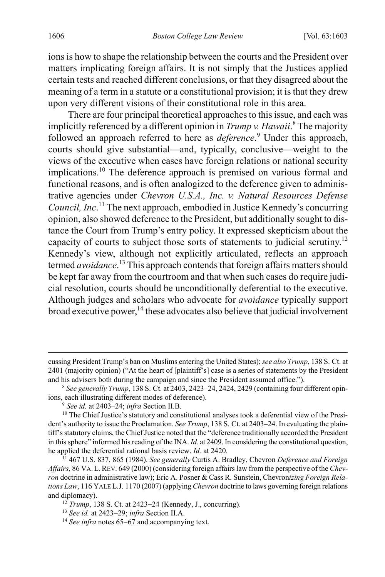ions is how to shape the relationship between the courts and the President over matters implicating foreign affairs. It is not simply that the Justices applied certain tests and reached different conclusions, or that they disagreed about the meaning of a term in a statute or a constitutional provision; it is that they drew upon very different visions of their constitutional role in this area.

<span id="page-4-0"></span>There are four principal theoretical approaches to this issue, and each was implicitly referenced by a different opinion in *Trump v. Hawaii*. <sup>8</sup> The majority followed an approach referred to here as *deference*. <sup>9</sup> Under this approach, courts should give substantial—and, typically, conclusive—weight to the views of the executive when cases have foreign relations or national security implications.10 The deference approach is premised on various formal and functional reasons, and is often analogized to the deference given to administrative agencies under *Chevron U.S.A., Inc. v. Natural Resources Defense Council, Inc*. <sup>11</sup> The next approach, embodied in Justice Kennedy's concurring opinion, also showed deference to the President, but additionally sought to distance the Court from Trump's entry policy. It expressed skepticism about the capacity of courts to subject those sorts of statements to judicial scrutiny.12 Kennedy's view, although not explicitly articulated, reflects an approach termed *avoidance*.<sup>13</sup> This approach contends that foreign affairs matters should be kept far away from the courtroom and that when such cases do require judicial resolution, courts should be unconditionally deferential to the executive. Although judges and scholars who advocate for *avoidance* typically support  $broad$  executive power,<sup>14</sup> these advocates also believe that judicial involvement

cussing President Trump's ban on Muslims entering the United States); *see also Trump*, 138 S. Ct. at 2401 (majority opinion) ("At the heart of [plaintiff's] case is a series of statements by the President and his advisers both during the campaign and since the President assumed office.").

<sup>8</sup> *See generally Trump*, 138 S. Ct. at 2403, 2423–24, 2424, 2429 (containing four different opinions, each illustrating different modes of deference).

<sup>9</sup> *See id.* at 2403–24; *infra* Section II.B.

<sup>&</sup>lt;sup>10</sup> The Chief Justice's statutory and constitutional analyses took a deferential view of the President's authority to issue the Proclamation. *See Trump*, 138 S. Ct. at 2403–24. In evaluating the plaintiff's statutory claims, the Chief Justice noted that the "deference traditionally accorded the President in this sphere" informed his reading of the INA. *Id.* at 2409. In considering the constitutional question, he applied the deferential rational basis review. *Id.* at 2420.

<sup>11</sup> 467 U.S. 837, 865 (1984). *See generally* Curtis A. Bradley, Chevron *Deference and Foreign Affairs*, 86 VA.L.REV. 649 (2000) (considering foreign affairs law from the perspective of the *Chevron* doctrine in administrative law); Eric A. Posner & Cass R. Sunstein, Chevron*izing Foreign Relations Law*, 116 YALE L.J. 1170 (2007) (applying *Chevron* doctrine to laws governing foreign relations and diplomacy).

<sup>12</sup> *Trump*, 138 S. Ct. at 2423−24 (Kennedy, J., concurring).

<sup>13</sup> *See id.* at 2423−29; *infra* Section II.A.

<sup>14</sup> *See infra* note[s 65](#page-13-0)−[67](#page-14-0) and accompanying text.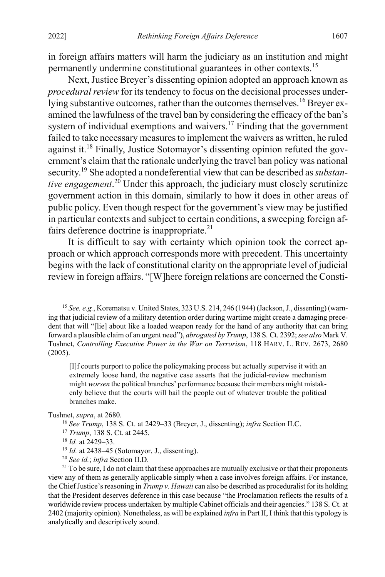<span id="page-5-0"></span>in foreign affairs matters will harm the judiciary as an institution and might permanently undermine constitutional guarantees in other contexts.15

Next, Justice Breyer's dissenting opinion adopted an approach known as *procedural review* for its tendency to focus on the decisional processes underlying substantive outcomes, rather than the outcomes themselves.<sup>16</sup> Breyer examined the lawfulness of the travel ban by considering the efficacy of the ban's system of individual exemptions and waivers.<sup>17</sup> Finding that the government failed to take necessary measures to implement the waivers as written, he ruled against it.<sup>18</sup> Finally, Justice Sotomayor's dissenting opinion refuted the government's claim that the rationale underlying the travel ban policy was national security.19 She adopted a nondeferential view that can be described as *substantive engagement*. <sup>20</sup> Under this approach, the judiciary must closely scrutinize government action in this domain, similarly to how it does in other areas of public policy. Even though respect for the government's view may be justified in particular contexts and subject to certain conditions, a sweeping foreign affairs deference doctrine is inappropriate. $21$ 

It is difficult to say with certainty which opinion took the correct approach or which approach corresponds more with precedent. This uncertainty begins with the lack of constitutional clarity on the appropriate level of judicial review in foreign affairs. "[W]here foreign relations are concerned the Consti-

Tushnet, *supra*, at 2680*.*

- <sup>17</sup> *Trump*, 138 S. Ct. at 2445.
- <sup>18</sup> *Id.* at 2429–33.

<sup>20</sup> *See id.*; *infra* Section II.D.

 <sup>15</sup> *See, e.g.*, Korematsu v. United States, 323 U.S. 214, 246 (1944) (Jackson, J., dissenting) (warning that judicial review of a military detention order during wartime might create a damaging precedent that will "[lie] about like a loaded weapon ready for the hand of any authority that can bring forward a plausible claim of an urgent need"), *abrogated by Trump*, 138 S. Ct. 2392;*see also* Mark V. Tushnet, *Controlling Executive Power in the War on Terrorism*, 118 HARV. L. REV. 2673, 2680 (2005).

<sup>[</sup>I]f courts purport to police the policymaking process but actually supervise it with an extremely loose hand, the negative case asserts that the judicial-review mechanism might *worsen* the political branches' performance because their members might mistakenly believe that the courts will bail the people out of whatever trouble the political branches make.

<sup>16</sup> *See Trump*, 138 S. Ct. at 2429–33 (Breyer, J., dissenting); *infra* Section II.C.

<sup>19</sup> *Id.* at 2438–45 (Sotomayor, J., dissenting).

<sup>&</sup>lt;sup>21</sup> To be sure, I do not claim that these approaches are mutually exclusive or that their proponents view any of them as generally applicable simply when a case involves foreign affairs. For instance, the Chief Justice's reasoning in *Trump v. Hawaii* can also be described as proceduralist for its holding that the President deserves deference in this case because "the Proclamation reflects the results of a worldwide review process undertaken by multiple Cabinet officials and their agencies." 138 S. Ct. at 2402 (majority opinion). Nonetheless, as will be explained *infra* in Part II, I think that this typology is analytically and descriptively sound.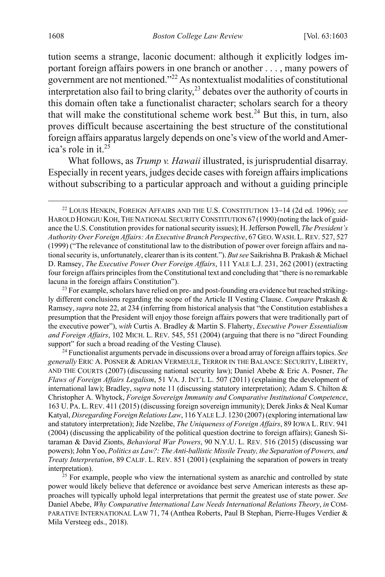<span id="page-6-0"></span>tution seems a strange, laconic document: although it explicitly lodges important foreign affairs powers in one branch or another . . . , many powers of government are not mentioned."22 As nontextualist modalities of constitutional interpretation also fail to bring clarity, $^{23}$  debates over the authority of courts in this domain often take a functionalist character; scholars search for a theory that will make the constitutional scheme work best.<sup>24</sup> But this, in turn, also proves difficult because ascertaining the best structure of the constitutional foreign affairs apparatus largely depends on one's view of the world and America's role in it. $25$ 

<span id="page-6-1"></span>What follows, as *Trump v. Hawaii* illustrated, is jurisprudential disarray. Especially in recent years, judges decide cases with foreign affairs implications without subscribing to a particular approach and without a guiding principle

 <sup>22</sup> LOUIS HENKIN, FOREIGN AFFAIRS AND THE U.S. CONSTITUTION <sup>13</sup>−14 (2d ed. 1996); *see*  HAROLD HONGJU KOH, THE NATIONAL SECURITY CONSTITUTION 67 (1990) (noting the lack of guidance the U.S. Constitution provides for national security issues); H. Jefferson Powell, *The President's Authority Over Foreign Affairs: An Executive Branch Perspective*, 67 GEO. WASH. L.REV. 527, 527 (1999) ("The relevance of constitutional law to the distribution of power over foreign affairs and national security is, unfortunately, clearer than is its content."). *But see* Saikrishna B. Prakash & Michael D. Ramsey, *The Executive Power Over Foreign Affairs*, 111 YALE L.J. 231, 262 (2001) (extracting four foreign affairs principles from the Constitutional text and concluding that "there is no remarkable lacuna in the foreign affairs Constitution").

<sup>&</sup>lt;sup>23</sup> For example, scholars have relied on pre- and post-founding era evidence but reached strikingly different conclusions regarding the scope of the Article II Vesting Clause. *Compare* Prakash & Ramsey, *supra* not[e 22,](#page-6-0) at 234 (inferring from historical analysis that "the Constitution establishes a presumption that the President will enjoy those foreign affairs powers that were traditionally part of the executive power"), *with* Curtis A. Bradley & Martin S. Flaherty, *Executive Power Essentialism and Foreign Affairs*, 102 MICH. L. REV. 545, 551 (2004) (arguing that there is no "direct Founding support" for such a broad reading of the Vesting Clause).

<sup>24</sup> Functionalist arguments pervade in discussions over a broad array of foreign affairs topics. *See generally* ERIC A. POSNER & ADRIAN VERMEULE, TERROR IN THE BALANCE: SECURITY, LIBERTY, AND THE COURTS (2007) (discussing national security law); Daniel Abebe & Eric A. Posner, *The Flaws of Foreign Affairs Legalism*, 51 VA. J. INT'L L. 507 (2011) (explaining the development of international law); Bradley, *supra* note [11](#page-4-0) (discussing statutory interpretation); Adam S. Chilton & Christopher A. Whytock, *Foreign Sovereign Immunity and Comparative Institutional Competence*, 163 U. PA. L.REV. 411 (2015) (discussing foreign sovereign immunity); Derek Jinks & Neal Kumar Katyal, *Disregarding Foreign Relations Law*, 116 YALE L.J. 1230 (2007) (exploring international law and statutory interpretation); Jide Nzelibe, *The Uniqueness of Foreign Affairs*, 89 IOWA L. REV. 941 (2004) (discussing the applicability of the political question doctrine to foreign affairs); Ganesh Sitaraman & David Zionts, *Behavioral War Powers*, 90 N.Y.U. L. REV. 516 (2015) (discussing war powers); John Yoo, *Politics as Law?: The Anti-ballistic Missile Treaty, the Separation of Powers, and Treaty Interpretation*, 89 CALIF. L. REV. 851 (2001) (explaining the separation of powers in treaty interpretation).

 $25$  For example, people who view the international system as anarchic and controlled by state power would likely believe that deference or avoidance best serve American interests as these approaches will typically uphold legal interpretations that permit the greatest use of state power. *See* Daniel Abebe, *Why Comparative International Law Needs International Relations Theory*, *in* COM-PARATIVE INTERNATIONAL LAW 71, 74 (Anthea Roberts, Paul B Stephan, Pierre-Huges Verdier & Mila Versteeg eds., 2018).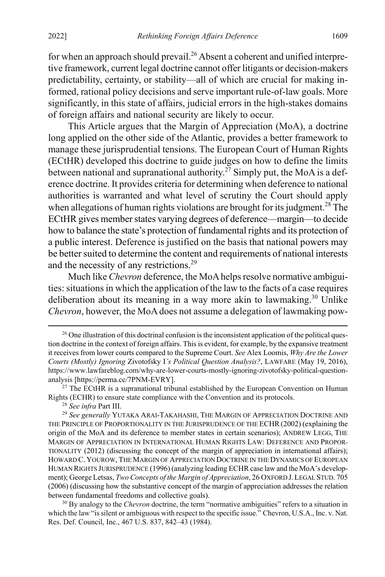for when an approach should prevail.<sup>26</sup> Absent a coherent and unified interpretive framework, current legal doctrine cannot offer litigants or decision-makers predictability, certainty, or stability—all of which are crucial for making informed, rational policy decisions and serve important rule-of-law goals. More significantly, in this state of affairs, judicial errors in the high-stakes domains of foreign affairs and national security are likely to occur.

This Article argues that the Margin of Appreciation (MoA), a doctrine long applied on the other side of the Atlantic, provides a better framework to manage these jurisprudential tensions. The European Court of Human Rights (ECtHR) developed this doctrine to guide judges on how to define the limits between national and supranational authority.<sup>27</sup> Simply put, the MoA is a deference doctrine. It provides criteria for determining when deference to national authorities is warranted and what level of scrutiny the Court should apply when allegations of human rights violations are brought for its judgment.<sup>28</sup> The ECtHR gives member states varying degrees of deference—margin—to decide how to balance the state's protection of fundamental rights and its protection of a public interest. Deference is justified on the basis that national powers may be better suited to determine the content and requirements of national interests and the necessity of any restrictions.<sup>29</sup>

<span id="page-7-0"></span>Much like *Chevron* deference, the MoA helps resolve normative ambiguities: situations in which the application of the law to the facts of a case requires deliberation about its meaning in a way more akin to lawmaking.<sup>30</sup> Unlike *Chevron*, however, the MoA does not assume a delegation of lawmaking pow-

<sup>&</sup>lt;sup>26</sup> One illustration of this doctrinal confusion is the inconsistent application of the political question doctrine in the context of foreign affairs. This is evident, for example, by the expansive treatment it receives from lower courts compared to the Supreme Court. *See* Alex Loomis, *Why Are the Lower Courts (Mostly) Ignoring* Zivotofsky I*'s Political Question Analysis?*, LAWFARE (May 19, 2016), https://www.lawfareblog.com/why-are-lower-courts-mostly-ignoring-zivotofsky-political-questionanalysis [https://perma.cc/7PNM-EVRY].

 $27$  The ECtHR is a supranational tribunal established by the European Convention on Human Rights (ECHR) to ensure state compliance with the Convention and its protocols.

<sup>28</sup> *See infra* Part III.

<sup>29</sup> *See generally* YUTAKA ARAI-TAKAHASHI, THE MARGIN OF APPRECIATION DOCTRINE AND THE PRINCIPLE OF PROPORTIONALITY IN THE JURISPRUDENCE OF THE ECHR(2002) (explaining the origin of the MoA and its deference to member states in certain scenarios); ANDREW LEGG, THE MARGIN OF APPRECIATION IN INTERNATIONAL HUMAN RIGHTS LAW: DEFERENCE AND PROPOR-TIONALITY (2012) (discussing the concept of the margin of appreciation in international affairs); HOWARD C. YOUROW, THE MARGIN OF APPRECIATION DOCTRINE IN THE DYNAMICS OF EUROPEAN HUMAN RIGHTS JURISPRUDENCE (1996) (analyzing leading ECHR case law and the MoA's development); George Letsas, *Two Concepts of the Margin of Appreciation*, 26 OXFORD J.LEGAL STUD. 705 (2006) (discussing how the substantive concept of the margin of appreciation addresses the relation between fundamental freedoms and collective goals).

<sup>&</sup>lt;sup>30</sup> By analogy to the *Chevron* doctrine, the term "normative ambiguities" refers to a situation in which the law "is silent or ambiguous with respect to the specific issue." Chevron, U.S.A., Inc. v. Nat. Res. Def. Council, Inc., 467 U.S. 837, 842–43 (1984).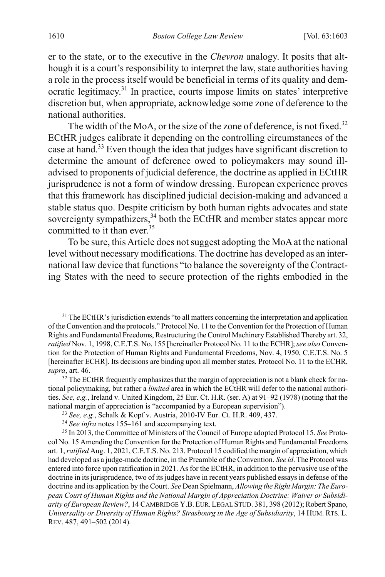<span id="page-8-0"></span>er to the state, or to the executive in the *Chevron* analogy. It posits that although it is a court's responsibility to interpret the law, state authorities having a role in the process itself would be beneficial in terms of its quality and democratic legitimacy.<sup>31</sup> In practice, courts impose limits on states' interpretive discretion but, when appropriate, acknowledge some zone of deference to the national authorities.

The width of the MoA, or the size of the zone of deference, is not fixed.<sup>32</sup> ECtHR judges calibrate it depending on the controlling circumstances of the case at hand.33 Even though the idea that judges have significant discretion to determine the amount of deference owed to policymakers may sound illadvised to proponents of judicial deference, the doctrine as applied in ECtHR jurisprudence is not a form of window dressing. European experience proves that this framework has disciplined judicial decision-making and advanced a stable status quo. Despite criticism by both human rights advocates and state sovereignty sympathizers,<sup>34</sup> both the ECtHR and member states appear more committed to it than ever.<sup>35</sup>

<span id="page-8-1"></span>To be sure, this Article does not suggest adopting the MoAat the national level without necessary modifications. The doctrine has developed as an international law device that functions "to balance the sovereignty of the Contracting States with the need to secure protection of the rights embodied in the

<sup>&</sup>lt;sup>31</sup> The ECtHR's jurisdiction extends "to all matters concerning the interpretation and application of the Convention and the protocols." Protocol No. 11 to the Convention for the Protection of Human Rights and Fundamental Freedoms, Restructuring the Control Machinery Established Thereby art. 32, *ratified* Nov. 1, 1998, C.E.T.S. No. 155 [hereinafter Protocol No. 11 to the ECHR];*see also* Convention for the Protection of Human Rights and Fundamental Freedoms, Nov. 4, 1950, C.E.T.S. No. 5 [hereinafter ECHR]. Its decisions are binding upon all member states. Protocol No. 11 to the ECHR, *supra*, art. 46.

 $32$  The ECtHR frequently emphasizes that the margin of appreciation is not a blank check for national policymaking, but rather a *limited* area in which the ECtHR will defer to the national authorities. *See, e.g.*, Ireland v. United Kingdom, 25 Eur. Ct. H.R. (ser. A) at 91–92 (1978) (noting that the national margin of appreciation is "accompanied by a European supervision").

<sup>33</sup> *See, e.g.*, Schalk & Kopf v. Austria, 2010-IV Eur. Ct. H.R. 409, 437.

<sup>34</sup> *See infra* note[s 155](#page-30-0)[–161](#page-30-1) and accompanying text.

<sup>35</sup> In 2013, the Committee of Ministers of the Council of Europe adopted Protocol 15. *See* Protocol No. 15 Amending the Convention for the Protection of Human Rights and Fundamental Freedoms art. 1, *ratified* Aug. 1, 2021, C.E.T.S. No. 213. Protocol 15 codified the margin of appreciation, which had developed as a judge-made doctrine, in the Preamble of the Convention. *See id*. The Protocol was entered into force upon ratification in 2021. As for the ECtHR, in addition to the pervasive use of the doctrine in its jurisprudence, two of its judges have in recent years published essays in defense of the doctrine and its application by the Court. *See* Dean Spielmann, *Allowing the Right Margin: The European Court of Human Rights and the National Margin of Appreciation Doctrine: Waiver or Subsidiarity of European Review?*, 14 CAMBRIDGE Y.B.EUR. LEGAL STUD. 381, 398 (2012); Robert Spano, *Universality or Diversity of Human Rights? Strasbourg in the Age of Subsidiarity*, 14 HUM. RTS. L. REV. 487, 491–502 (2014).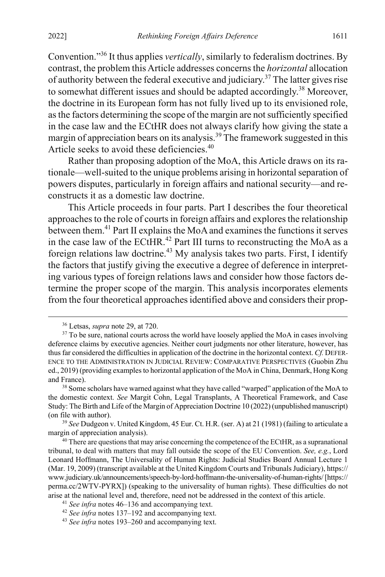Convention."36 It thus applies *vertically*, similarly to federalism doctrines. By contrast, the problem this Article addresses concerns the *horizontal* allocation of authority between the federal executive and judiciary.37 The latter gives rise to somewhat different issues and should be adapted accordingly.<sup>38</sup> Moreover, the doctrine in its European form has not fully lived up to its envisioned role, as the factors determining the scope of the margin are not sufficiently specified in the case law and the ECtHR does not always clarify how giving the state a margin of appreciation bears on its analysis.<sup>39</sup> The framework suggested in this Article seeks to avoid these deficiencies.<sup>40</sup>

<span id="page-9-0"></span>Rather than proposing adoption of the MoA, this Article draws on its rationale—well-suited to the unique problems arising in horizontal separation of powers disputes, particularly in foreign affairs and national security—and reconstructs it as a domestic law doctrine.

This Article proceeds in four parts. Part I describes the four theoretical approaches to the role of courts in foreign affairs and explores the relationship between them.<sup>41</sup> Part II explains the MoA and examines the functions it serves in the case law of the ECtHR.<sup>42</sup> Part III turns to reconstructing the MoA as a foreign relations law doctrine.<sup>43</sup> My analysis takes two parts. First, I identify the factors that justify giving the executive a degree of deference in interpreting various types of foreign relations laws and consider how those factors determine the proper scope of the margin. This analysis incorporates elements from the four theoretical approaches identified above and considers their prop-

 <sup>36</sup> Letsas, *supra* not[e 29,](#page-7-0) at 720.

 $37$  To be sure, national courts across the world have loosely applied the MoA in cases involving deference claims by executive agencies. Neither court judgments nor other literature, however, has thus far considered the difficulties in application of the doctrine in the horizontal context. *Cf.* DEFER-ENCE TO THE ADMINISTRATION IN JUDICIAL REVIEW: COMPARATIVE PERSPECTIVES (Guobin Zhu ed., 2019) (providing examples to horizontal application of the MoA in China, Denmark, Hong Kong and France).

<sup>&</sup>lt;sup>38</sup> Some scholars have warned against what they have called "warped" application of the MoA to the domestic context. *See* Margit Cohn, Legal Transplants, A Theoretical Framework, and Case Study: The Birth and Life of the Margin of Appreciation Doctrine 10 (2022) (unpublished manuscript) (on file with author).

<sup>39</sup> *See* Dudgeon v. United Kingdom, 45 Eur. Ct. H.R. (ser. A) at 21 (1981) (failing to articulate a margin of appreciation analysis).

<sup>&</sup>lt;sup>40</sup> There are questions that may arise concerning the competence of the ECtHR, as a supranational tribunal, to deal with matters that may fall outside the scope of the EU Convention. *See, e.g.*, Lord Leonard Hoffmann, The Universality of Human Rights: Judicial Studies Board Annual Lecture 1 (Mar. 19, 2009) (transcript available at the United Kingdom Courts and Tribunals Judiciary), https:// www.judiciary.uk/announcements/speech-by-lord-hoffmann-the-universality-of-human-rights/[https:// perma.cc/2WTV-PYRX]) (speaking to the universality of human rights). These difficulties do not arise at the national level and, therefore, need not be addressed in the context of this article.

<sup>41</sup> *See infra* note[s 46–](#page-10-0)[136](#page-26-0) and accompanying text.

<sup>42</sup> *See infra* note[s 137](#page-28-0)[–192](#page-36-0) and accompanying text.

<sup>43</sup> *See infra* note[s 193](#page-36-1)[–260](#page-49-0) and accompanying text.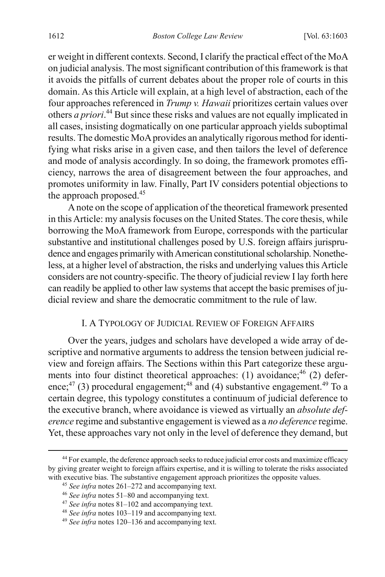er weight in different contexts. Second, I clarify the practical effect of the MoA on judicial analysis. The most significant contribution of this framework is that it avoids the pitfalls of current debates about the proper role of courts in this domain. As this Article will explain, at a high level of abstraction, each of the four approaches referenced in *Trump v. Hawaii* prioritizes certain values over others *a priori*. <sup>44</sup> But since these risks and values are not equally implicated in all cases, insisting dogmatically on one particular approach yields suboptimal results. The domestic MoA provides an analytically rigorous method for identifying what risks arise in a given case, and then tailors the level of deference and mode of analysis accordingly. In so doing, the framework promotes efficiency, narrows the area of disagreement between the four approaches, and promotes uniformity in law. Finally, Part IV considers potential objections to the approach proposed.45

A note on the scope of application of the theoretical framework presented in this Article: my analysis focuses on the United States. The core thesis, while borrowing the MoA framework from Europe, corresponds with the particular substantive and institutional challenges posed by U.S. foreign affairs jurisprudence and engages primarily with American constitutional scholarship. Nonetheless, at a higher level of abstraction, the risks and underlying values this Article considers are not country-specific. The theory of judicial review I lay forth here can readily be applied to other law systems that accept the basic premises of judicial review and share the democratic commitment to the rule of law.

### <span id="page-10-0"></span>I. A TYPOLOGY OF JUDICIAL REVIEW OF FOREIGN AFFAIRS

Over the years, judges and scholars have developed a wide array of descriptive and normative arguments to address the tension between judicial review and foreign affairs. The Sections within this Part categorize these arguments into four distinct theoretical approaches: (1) avoidance;<sup>46</sup> (2) deference;<sup>47</sup> (3) procedural engagement;<sup>48</sup> and (4) substantive engagement.<sup>49</sup> To a certain degree, this typology constitutes a continuum of judicial deference to the executive branch, where avoidance is viewed as virtually an *absolute deference* regime and substantive engagement is viewed as a *no deference* regime. Yet, these approaches vary not only in the level of deference they demand, but

<sup>&</sup>lt;sup>44</sup> For example, the deference approach seeks to reduce judicial error costs and maximize efficacy by giving greater weight to foreign affairs expertise, and it is willing to tolerate the risks associated with executive bias. The substantive engagement approach prioritizes the opposite values.

<sup>45</sup> *See infra* note[s 261](#page-50-0)[–272](#page-53-0) and accompanying text.

<sup>46</sup> *See infra* note[s 51–](#page-11-0)[80](#page-16-0) and accompanying text.

<sup>47</sup> *See infra* note[s 81–](#page-16-1)[102](#page-20-0) and accompanying text.

<sup>48</sup> *See infra* note[s 103](#page-20-1)[–119](#page-23-0) and accompanying text.

<sup>49</sup> *See infra* note[s 120](#page-24-0)[–136](#page-26-0) and accompanying text.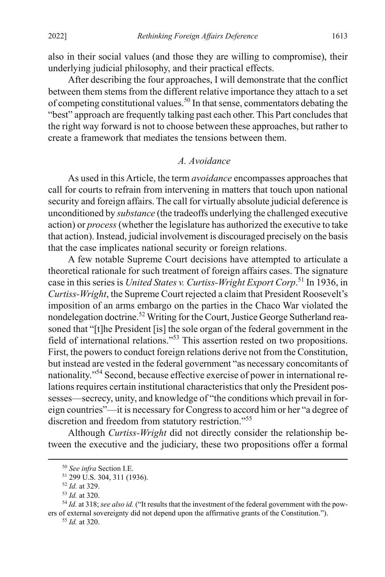also in their social values (and those they are willing to compromise), their underlying judicial philosophy, and their practical effects.

After describing the four approaches, I will demonstrate that the conflict between them stems from the different relative importance they attach to a set of competing constitutional values.50 In that sense, commentators debating the "best" approach are frequently talking past each other. This Part concludes that the right way forward is not to choose between these approaches, but rather to create a framework that mediates the tensions between them.

#### <span id="page-11-0"></span>*A. Avoidance*

As used in this Article, the term *avoidance* encompasses approaches that call for courts to refrain from intervening in matters that touch upon national security and foreign affairs. The call for virtually absolute judicial deference is unconditioned by *substance* (the tradeoffs underlying the challenged executive action) or *process*(whether the legislature has authorized the executive to take that action). Instead, judicial involvement is discouraged precisely on the basis that the case implicates national security or foreign relations.

A few notable Supreme Court decisions have attempted to articulate a theoretical rationale for such treatment of foreign affairs cases. The signature case in this series is *United States v. Curtiss-Wright Export Corp*. <sup>51</sup> In 1936, in *Curtiss-Wright*, the Supreme Court rejected a claim that President Roosevelt's imposition of an arms embargo on the parties in the Chaco War violated the nondelegation doctrine.<sup>52</sup> Writing for the Court, Justice George Sutherland reasoned that "[t]he President [is] the sole organ of the federal government in the field of international relations."53 This assertion rested on two propositions. First, the powers to conduct foreign relations derive not from the Constitution, but instead are vested in the federal government "as necessary concomitants of nationality."54 Second, because effective exercise of power in international relations requires certain institutional characteristics that only the President possesses—secrecy, unity, and knowledge of "the conditions which prevail in foreign countries"—it is necessary for Congress to accord him or her "a degree of discretion and freedom from statutory restriction."55

Although *Curtiss-Wright* did not directly consider the relationship between the executive and the judiciary, these two propositions offer a formal

<sup>54</sup> *Id.* at 318; *see also id.* ("It results that the investment of the federal government with the powers of external sovereignty did not depend upon the affirmative grants of the Constitution.").

<sup>55</sup> *Id.* at 320.

 <sup>50</sup> *See infra* Section I.E.

<sup>51</sup> 299 U.S. 304, 311 (1936).

<sup>52</sup> *Id.* at 329.

<sup>53</sup> *Id.* at 320.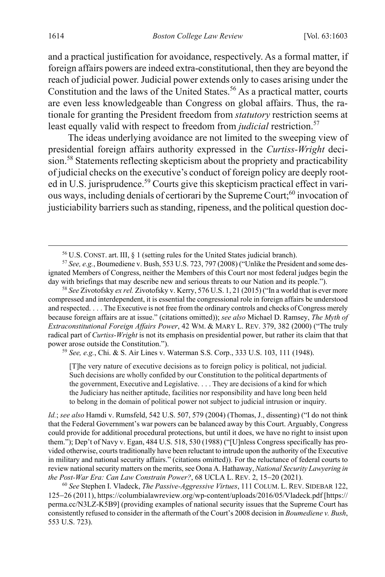and a practical justification for avoidance, respectively. As a formal matter, if foreign affairs powers are indeed extra-constitutional, then they are beyond the reach of judicial power. Judicial power extends only to cases arising under the Constitution and the laws of the United States.<sup>56</sup> As a practical matter, courts are even less knowledgeable than Congress on global affairs. Thus, the rationale for granting the President freedom from *statutory* restriction seems at least equally valid with respect to freedom from *judicial* restriction.<sup>57</sup>

The ideas underlying avoidance are not limited to the sweeping view of presidential foreign affairs authority expressed in the *Curtiss-Wright* decision.<sup>58</sup> Statements reflecting skepticism about the propriety and practicability of judicial checks on the executive's conduct of foreign policy are deeply rooted in U.S. jurisprudence.<sup>59</sup> Courts give this skepticism practical effect in various ways, including denials of certiorari by the Supreme Court;<sup>60</sup> invocation of justiciability barriers such as standing, ripeness, and the political question doc-

<sup>59</sup> *See, e.g.*, Chi. & S. Air Lines v. Waterman S.S. Corp., 333 U.S. 103, 111 (1948).

[T]he very nature of executive decisions as to foreign policy is political, not judicial. Such decisions are wholly confided by our Constitution to the political departments of the government, Executive and Legislative. . . . They are decisions of a kind for which the Judiciary has neither aptitude, facilities nor responsibility and have long been held to belong in the domain of political power not subject to judicial intrusion or inquiry.

*Id.*; *see also* Hamdi v. Rumsfeld, 542 U.S. 507, 579 (2004) (Thomas, J., dissenting) ("I do not think that the Federal Government's war powers can be balanced away by this Court. Arguably, Congress could provide for additional procedural protections, but until it does, we have no right to insist upon them."); Dep't of Navy v. Egan, 484 U.S. 518, 530 (1988) ("[U]nless Congress specifically has provided otherwise, courts traditionally have been reluctant to intrude upon the authority of the Executive in military and national security affairs." (citations omitted)). For the reluctance of federal courts to review national security matters on the merits, see Oona A. Hathaway, *National Security Lawyering in the Post-War Era: Can Law Constrain Power?*, 68 UCLA L. REV. 2, 15−20 (2021).

<sup>60</sup> *See* Stephen I. Vladeck, *The Passive-Aggressive Virtues*, 111 COLUM. L. REV. SIDEBAR 122, 125−26 (2011), https://columbialawreview.org/wp-content/uploads/2016/05/Vladeck.pdf [https:// perma.cc/N3LZ-K5B9] (providing examples of national security issues that the Supreme Court has consistently refused to consider in the aftermath of the Court's 2008 decision in *Boumediene v. Bush*, 553 U.S. 723).

<span id="page-12-0"></span> <sup>56</sup> U.S. CONST. art. III, § <sup>1</sup> (setting rules for the United States judicial branch).

<sup>57</sup> *See, e.g.*, Boumediene v. Bush, 553 U.S. 723, 797 (2008) ("Unlike the President and some designated Members of Congress, neither the Members of this Court nor most federal judges begin the day with briefings that may describe new and serious threats to our Nation and its people.").

<sup>58</sup> *See* Zivotofsky *ex rel.* Zivotofsky v. Kerry, 576 U.S. 1, 21 (2015) ("In a world that is ever more compressed and interdependent, it is essential the congressional role in foreign affairs be understood and respected. . . . The Executive is not free from the ordinary controls and checks of Congress merely because foreign affairs are at issue." (citations omitted)); *see also* Michael D. Ramsey, *The Myth of Extraconstitutional Foreign Affairs Power*, 42 WM. & MARY L. REV. 379, 382 (2000) ("The truly radical part of *Curtiss-Wright* is not its emphasis on presidential power, but rather its claim that that power arose outside the Constitution.").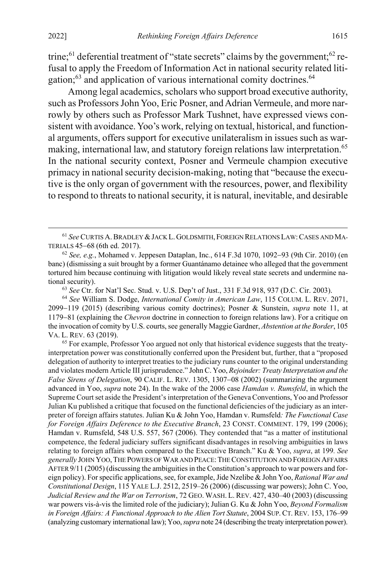<span id="page-13-1"></span>trine;<sup>61</sup> deferential treatment of "state secrets" claims by the government;<sup>62</sup> refusal to apply the Freedom of Information Act in national security related litigation;<sup>63</sup> and application of various international comity doctrines.<sup>64</sup>

<span id="page-13-0"></span>Among legal academics, scholars who support broad executive authority, such as Professors John Yoo, Eric Posner, and Adrian Vermeule, and more narrowly by others such as Professor Mark Tushnet, have expressed views consistent with avoidance. Yoo's work, relying on textual, historical, and functional arguments, offers support for executive unilateralism in issues such as warmaking, international law, and statutory foreign relations law interpretation.<sup>65</sup> In the national security context, Posner and Vermeule champion executive primacy in national security decision-making, noting that "because the executive is the only organ of government with the resources, power, and flexibility to respond to threats to national security, it is natural, inevitable, and desirable

<sup>63</sup> *See* Ctr. for Nat'l Sec. Stud. v. U.S. Dep't of Just., 331 F.3d 918, 937 (D.C. Cir. 2003).

<sup>64</sup> *See* William S. Dodge, *International Comity in American Law*, 115 COLUM. L. REV. 2071, 2099−119 (2015) (describing various comity doctrines); Posner & Sunstein, *supra* note [11,](#page-4-0) at 1179−81 (explaining the *Chevron* doctrine in connection to foreign relations law). For a critique on the invocation of comity by U.S. courts, see generally Maggie Gardner, *Abstention at the Border*, 105 VA. L. REV. 63 (2019).

<sup>65</sup> For example, Professor Yoo argued not only that historical evidence suggests that the treatyinterpretation power was constitutionally conferred upon the President but, further, that a "proposed delegation of authority to interpret treaties to the judiciary runs counter to the original understanding and violates modern Article III jurisprudence." John C. Yoo, *Rejoinder: Treaty Interpretation and the False Sirens of Delegation*, 90 CALIF. L. REV. 1305, 1307−08 (2002) (summarizing the argument advanced in Yoo, *supra* note [24\)](#page-6-1). In the wake of the 2006 case *Hamdan v. Rumsfeld*, in which the Supreme Court set aside the President's interpretation of the Geneva Conventions, Yoo and Professor Julian Ku published a critique that focused on the functional deficiencies of the judiciary as an interpreter of foreign affairs statutes. Julian Ku & John Yoo, Hamdan v. Rumsfeld*: The Functional Case for Foreign Affairs Deference to the Executive Branch*, 23 CONST. COMMENT. 179, 199 (2006); Hamdan v. Rumsfeld, 548 U.S. 557, 567 (2006). They contended that "as a matter of institutional competence, the federal judiciary suffers significant disadvantages in resolving ambiguities in laws relating to foreign affairs when compared to the Executive Branch." Ku & Yoo, *supra*, at 199*. See generally* JOHN YOO,THE POWERS OF WAR AND PEACE:THE CONSTITUTION AND FOREIGN AFFAIRS AFTER 9/11 (2005) (discussing the ambiguities in the Constitution's approach to war powers and foreign policy). For specific applications, see, for example, Jide Nzelibe & John Yoo, *Rational War and Constitutional Design*, 115 YALE L.J. 2512, 2519–26 (2006) (discussing war powers); John C. Yoo, *Judicial Review and the War on Terrorism*, 72 GEO. WASH. L. REV. 427, 430–40 (2003) (discussing war powers vis-à-vis the limited role of the judiciary); Julian G. Ku & John Yoo, *Beyond Formalism in Foreign Affairs: A Functional Approach to the Alien Tort Statute*, 2004 SUP. CT. REV. 153, 176–99 (analyzing customary international law); Yoo, *supra* not[e 24](#page-6-1) (describing the treaty interpretation power).

 <sup>61</sup> *See* CURTIS A.BRADLEY &JACK L.GOLDSMITH, FOREIGN RELATIONS LAW:CASES AND MA-TERIALS 45−68 (6th ed. 2017).

<sup>62</sup> *See, e.g.*, Mohamed v. Jeppesen Dataplan, Inc*.*, 614 F.3d 1070, 1092−93 (9th Cir. 2010) (en banc) (dismissing a suit brought by a former Guantánamo detainee who alleged that the government tortured him because continuing with litigation would likely reveal state secrets and undermine national security).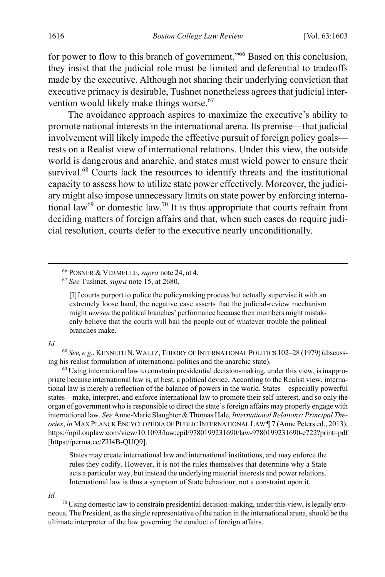for power to flow to this branch of government."<sup>66</sup> Based on this conclusion, they insist that the judicial role must be limited and deferential to tradeoffs made by the executive. Although not sharing their underlying conviction that executive primacy is desirable, Tushnet nonetheless agrees that judicial intervention would likely make things worse.<sup>67</sup>

<span id="page-14-0"></span>The avoidance approach aspires to maximize the executive's ability to promote national interests in the international arena. Its premise—that judicial involvement will likely impede the effective pursuit of foreign policy goals rests on a Realist view of international relations. Under this view, the outside world is dangerous and anarchic, and states must wield power to ensure their survival.<sup>68</sup> Courts lack the resources to identify threats and the institutional capacity to assess how to utilize state power effectively. Moreover, the judiciary might also impose unnecessary limits on state power by enforcing international law<sup>69</sup> or domestic law.<sup>70</sup> It is thus appropriate that courts refrain from deciding matters of foreign affairs and that, when such cases do require judicial resolution, courts defer to the executive nearly unconditionally.

[I]f courts purport to police the policymaking process but actually supervise it with an extremely loose hand, the negative case asserts that the judicial-review mechanism might *worsen* the political branches' performance because their members might mistakenly believe that the courts will bail the people out of whatever trouble the political branches make.

#### *Id.*

<sup>68</sup> *See, e.g.*, KENNETH N.WALTZ,THEORY OF INTERNATIONAL POLITICS 102–28 (1979) (discussing his realist formulation of international politics and the anarchic state).

 $69$  Using international law to constrain presidential decision-making, under this view, is inappropriate because international law is, at best, a political device. According to the Realist view, international law is merely a reflection of the balance of powers in the world. States—especially powerful states—make, interpret, and enforce international law to promote their self-interest, and so only the organ of government who is responsible to direct the state's foreign affairs may properly engage with international law. *See* Anne-Marie Slaughter & Thomas Hale, *International Relations: Principal Theories*, *in* MAX PLANCK ENCYCLOPEDIA OF PUBLIC INTERNATIONAL LAW ¶ 7 (Anne Peters ed., 2013), https://opil.ouplaw.com/view/10.1093/law:epil/9780199231690/law-9780199231690-e722?print=pdf [https://perma.cc/ZH4B-QUQ9].

States may create international law and international institutions, and may enforce the rules they codify. However, it is not the rules themselves that determine why a State acts a particular way, but instead the underlying material interests and power relations. International law is thus a symptom of State behaviour, not a constraint upon it.

*Id.*

<sup>70</sup> Using domestic law to constrain presidential decision-making, under this view, is legally erroneous. The President, as the single representative of the nation in the international arena, should be the ultimate interpreter of the law governing the conduct of foreign affairs.

 <sup>66</sup> POSNER & VERMEULE, *supra* note [24,](#page-6-1) at 4.

<sup>67</sup> *See* Tushnet, *supra* note [15,](#page-5-0) at 2680.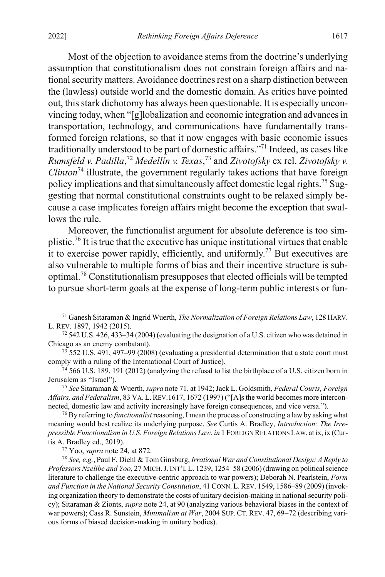Most of the objection to avoidance stems from the doctrine's underlying assumption that constitutionalism does not constrain foreign affairs and national security matters. Avoidance doctrines rest on a sharp distinction between the (lawless) outside world and the domestic domain. As critics have pointed out, this stark dichotomy has always been questionable. It is especially unconvincing today, when "[g]lobalization and economic integration and advances in transportation, technology, and communications have fundamentally transformed foreign relations, so that it now engages with basic economic issues traditionally understood to be part of domestic affairs."71 Indeed, as cases like *Rumsfeld v. Padilla*, <sup>72</sup> *Medellín v. Texas*, <sup>73</sup> and *Zivotofsky* ex rel. *Zivotofsky v. Clinton*<sup>74</sup> illustrate, the government regularly takes actions that have foreign policy implications and that simultaneously affect domestic legal rights.<sup>75</sup> Suggesting that normal constitutional constraints ought to be relaxed simply because a case implicates foreign affairs might become the exception that swallows the rule.

<span id="page-15-2"></span><span id="page-15-0"></span>Moreover, the functionalist argument for absolute deference is too simplistic.<sup>76</sup> It is true that the executive has unique institutional virtues that enable it to exercise power rapidly, efficiently, and uniformly.<sup>77</sup> But executives are also vulnerable to multiple forms of bias and their incentive structure is suboptimal.<sup>78</sup> Constitutionalism presupposes that elected officials will be tempted to pursue short-term goals at the expense of long-term public interests or fun-

<sup>75</sup> *See* Sitaraman & Wuerth, *supra* not[e 71,](#page-15-0) at 1942; Jack L. Goldsmith, *Federal Courts, Foreign Affairs, and Federalism*, 83 VA. L.REV.1617, 1672 (1997) ("[A]s the world becomes more interconnected, domestic law and activity increasingly have foreign consequences, and vice versa.").

<sup>76</sup> By referring to *functionalist* reasoning, I mean the process of constructing a law by asking what meaning would best realize its underlying purpose. *See* Curtis A. Bradley, *Introduction: The Irrepressible Functionalism in U.S. Foreign Relations Law*, *in* 1 FOREIGN RELATIONS LAW, at ix, ix (Curtis A. Bradley ed., 2019).

<sup>77</sup> Yoo, *supra* not[e 24,](#page-6-1) at 872.

<sup>78</sup> *See, e.g.*, Paul F. Diehl & Tom Ginsburg, *Irrational War and Constitutional Design: A Reply to Professors Nzelibe and Yoo*, 27 MICH.J.INT'L L. 1239, 1254–58 (2006) (drawing on political science literature to challenge the executive-centric approach to war powers); Deborah N. Pearlstein, *Form and Function in the National Security Constitution*, 41 CONN.L.REV. 1549, 1586–89 (2009) (invoking organization theory to demonstrate the costs of unitary decision-making in national security policy); Sitaraman & Zionts, *supra* not[e 24,](#page-6-1) at 90 (analyzing various behavioral biases in the context of war powers); Cass R. Sunstein, *Minimalism at War*, 2004 SUP. CT. REV. 47, 69−72 (describing various forms of biased decision-making in unitary bodies).

<span id="page-15-1"></span> <sup>71</sup> Ganesh Sitaraman & Ingrid Wuerth, *The Normalization of Foreign Relations Law*, 128 HARV. L. REV. 1897, 1942 (2015).

 $72\,542\,$  U.S. 426, 433–34 (2004) (evaluating the designation of a U.S. citizen who was detained in Chicago as an enemy combatant).

<sup>73</sup> 552 U.S. 491, 497–99 (2008) (evaluating a presidential determination that a state court must comply with a ruling of the International Court of Justice).

 $74$  566 U.S. 189, 191 (2012) (analyzing the refusal to list the birthplace of a U.S. citizen born in Jerusalem as "Israel").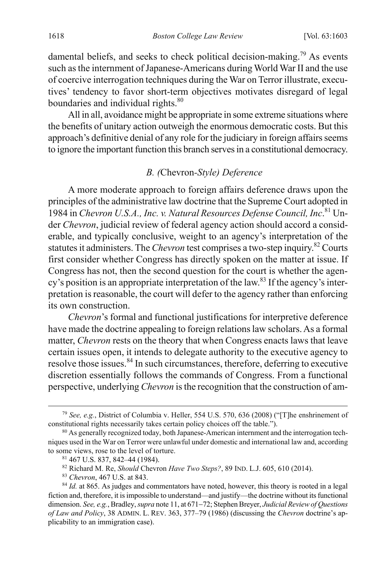damental beliefs, and seeks to check political decision-making.<sup>79</sup> As events such as the internment of Japanese-Americans during World War II and the use of coercive interrogation techniques during the War on Terror illustrate, executives' tendency to favor short-term objectives motivates disregard of legal boundaries and individual rights.<sup>80</sup>

All in all, avoidance might be appropriate in some extreme situations where the benefits of unitary action outweigh the enormous democratic costs. But this approach's definitive denial of any role for the judiciary in foreign affairs seems to ignore the important function this branch serves in a constitutional democracy.

#### <span id="page-16-1"></span><span id="page-16-0"></span>*B. (*Chevron*-Style) Deference*

A more moderate approach to foreign affairs deference draws upon the principles of the administrative law doctrine that the Supreme Court adopted in 1984 in *Chevron U.S.A., Inc. v. Natural Resources Defense Council, Inc*. <sup>81</sup> Under *Chevron*, judicial review of federal agency action should accord a considerable, and typically conclusive, weight to an agency's interpretation of the statutes it administers. The *Chevron* test comprises a two-step inquiry. <sup>82</sup> Courts first consider whether Congress has directly spoken on the matter at issue. If Congress has not, then the second question for the court is whether the agency's position is an appropriate interpretation of the law.<sup>83</sup> If the agency's interpretation is reasonable, the court will defer to the agency rather than enforcing its own construction.

*Chevron*'s formal and functional justifications for interpretive deference have made the doctrine appealing to foreign relations law scholars. As a formal matter, *Chevron* rests on the theory that when Congress enacts laws that leave certain issues open, it intends to delegate authority to the executive agency to resolve those issues.<sup>84</sup> In such circumstances, therefore, deferring to executive discretion essentially follows the commands of Congress. From a functional perspective, underlying *Chevron* isthe recognition that the construction of am-

 <sup>79</sup> *See, e.g.*, District of Columbia v. Heller, 554 U.S. 570, 636 (2008) ("[T]he enshrinement of constitutional rights necessarily takes certain policy choices off the table.").

<sup>&</sup>lt;sup>80</sup> As generally recognized today, both Japanese-American internment and the interrogation techniques used in the War on Terror were unlawful under domestic and international law and, according to some views, rose to the level of torture.

<sup>81</sup> 467 U.S. 837, 842–44 (1984).

<sup>82</sup> Richard M. Re, *Should* Chevron *Have Two Steps?*, 89 IND. L.J. 605, 610 (2014).

<sup>83</sup> *Chevron*, 467 U.S. at 843.

<sup>&</sup>lt;sup>84</sup> *Id.* at 865. As judges and commentators have noted, however, this theory is rooted in a legal fiction and, therefore, it is impossible to understand—and justify—the doctrine without its functional dimension. *See, e.g.*, Bradley, *supra* not[e 11,](#page-4-0) at 671−72; Stephen Breyer, *Judicial Review of Questions of Law and Policy*, 38 ADMIN. L. REV. 363, 377–79 (1986) (discussing the *Chevron* doctrine's applicability to an immigration case).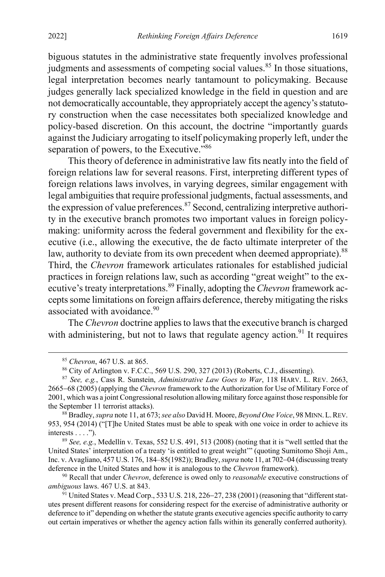biguous statutes in the administrative state frequently involves professional judgments and assessments of competing social values.<sup>85</sup> In those situations, legal interpretation becomes nearly tantamount to policymaking. Because judges generally lack specialized knowledge in the field in question and are not democratically accountable, they appropriately accept the agency's statutory construction when the case necessitates both specialized knowledge and policy-based discretion. On this account, the doctrine "importantly guards against the Judiciary arrogating to itself policymaking properly left, under the separation of powers, to the Executive."<sup>86</sup>

This theory of deference in administrative law fits neatly into the field of foreign relations law for several reasons. First, interpreting different types of foreign relations laws involves, in varying degrees, similar engagement with legal ambiguities that require professional judgments, factual assessments, and the expression of value preferences.<sup>87</sup> Second, centralizing interpretive authority in the executive branch promotes two important values in foreign policymaking: uniformity across the federal government and flexibility for the executive (i.e., allowing the executive, the de facto ultimate interpreter of the law, authority to deviate from its own precedent when deemed appropriate).<sup>88</sup> Third, the *Chevron* framework articulates rationales for established judicial practices in foreign relations law, such as according "great weight" to the executive's treaty interpretations.<sup>89</sup> Finally, adopting the *Chevron* framework accepts some limitations on foreign affairs deference, thereby mitigating the risks associated with avoidance.<sup>90</sup>

The *Chevron* doctrine applies to laws that the executive branch is charged with administering, but not to laws that regulate agency action.<sup>91</sup> It requires

<sup>89</sup> *See, e.g.*, Medellín v. Texas, 552 U.S. 491, 513 (2008) (noting that it is "well settled that the United States' interpretation of a treaty 'is entitled to great weight'" (quoting Sumitomo Shoji Am., Inc. v. Avagliano, 457 U.S. 176, 184–85(1982)); Bradley, *supra* not[e 11,](#page-4-0) at 702−04 (discussing treaty deference in the United States and how it is analogous to the *Chevron* framework).

<sup>90</sup> Recall that under *Chevron*, deference is owed only to *reasonable* executive constructions of *ambiguous* laws. 467 U.S. at 843.

91 United States v. Mead Corp., 533 U.S. 218, 226–27, 238 (2001) (reasoning that "different statutes present different reasons for considering respect for the exercise of administrative authority or deference to it" depending on whether the statute grants executive agencies specific authority to carry out certain imperatives or whether the agency action falls within its generally conferred authority).

 <sup>85</sup> *Chevron*, 467 U.S. at 865.

<sup>86</sup> City of Arlington v. F.C.C., 569 U.S. 290, 327 (2013) (Roberts, C.J., dissenting).

<sup>87</sup> *See, e.g.*, Cass R. Sunstein, *Administrative Law Goes to War*, 118 HARV. L. REV. 2663, 2665−68 (2005) (applying the *Chevron* framework to the Authorization for Use of Military Force of 2001, which was a joint Congressional resolution allowing military force against those responsible for the September 11 terrorist attacks).

<sup>88</sup> Bradley, *supra* not[e 11,](#page-4-0) at 673;*see also* David H. Moore, *Beyond One Voice*, 98 MINN.L.REV. 953, 954 (2014) ("[T]he United States must be able to speak with one voice in order to achieve its  $interests \ldots$ ").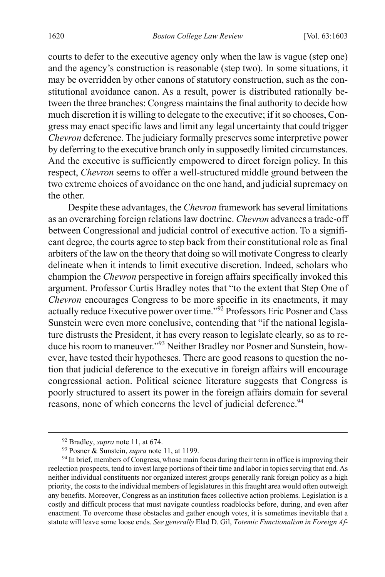courts to defer to the executive agency only when the law is vague (step one) and the agency's construction is reasonable (step two). In some situations, it may be overridden by other canons of statutory construction, such as the constitutional avoidance canon. As a result, power is distributed rationally between the three branches: Congress maintains the final authority to decide how much discretion it is willing to delegate to the executive; if it so chooses, Congress may enact specific laws and limit any legal uncertainty that could trigger *Chevron* deference. The judiciary formally preserves some interpretive power by deferring to the executive branch only in supposedly limited circumstances. And the executive is sufficiently empowered to direct foreign policy. In this respect, *Chevron* seems to offer a well-structured middle ground between the two extreme choices of avoidance on the one hand, and judicial supremacy on the other.

Despite these advantages, the *Chevron* framework has several limitations as an overarching foreign relations law doctrine. *Chevron* advances a trade-off between Congressional and judicial control of executive action. To a significant degree, the courts agree to step back from their constitutional role as final arbiters of the law on the theory that doing so will motivate Congress to clearly delineate when it intends to limit executive discretion. Indeed, scholars who champion the *Chevron* perspective in foreign affairs specifically invoked this argument. Professor Curtis Bradley notes that "to the extent that Step One of *Chevron* encourages Congress to be more specific in its enactments, it may actually reduce Executive power over time."<sup>92</sup> Professors Eric Posner and Cass Sunstein were even more conclusive, contending that "if the national legislature distrusts the President, it has every reason to legislate clearly, so as to reduce his room to maneuver."<sup>93</sup> Neither Bradley nor Posner and Sunstein, however, have tested their hypotheses. There are good reasons to question the notion that judicial deference to the executive in foreign affairs will encourage congressional action. Political science literature suggests that Congress is poorly structured to assert its power in the foreign affairs domain for several reasons, none of which concerns the level of judicial deference.<sup>94</sup>

 <sup>92</sup> Bradley, *supra* note [11,](#page-4-0) at 674.

<sup>93</sup> Posner & Sunstein, *supra* not[e 11,](#page-4-0) at 1199.

<sup>&</sup>lt;sup>94</sup> In brief, members of Congress, whose main focus during their term in office is improving their reelection prospects, tend to invest large portions of their time and labor in topics serving that end. As neither individual constituents nor organized interest groups generally rank foreign policy as a high priority, the costs to the individual members of legislatures in this fraught area would often outweigh any benefits. Moreover, Congress as an institution faces collective action problems. Legislation is a costly and difficult process that must navigate countless roadblocks before, during, and even after enactment. To overcome these obstacles and gather enough votes, it is sometimes inevitable that a statute will leave some loose ends. *See generally* Elad D. Gil, *Totemic Functionalism in Foreign Af-*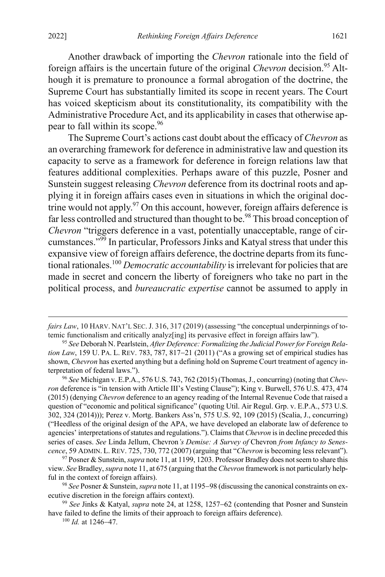Another drawback of importing the *Chevron* rationale into the field of foreign affairs is the uncertain future of the original *Chevron* decision.<sup>95</sup> Although it is premature to pronounce a formal abrogation of the doctrine, the Supreme Court has substantially limited its scope in recent years. The Court has voiced skepticism about its constitutionality, its compatibility with the Administrative Procedure Act, and its applicability in cases that otherwise appear to fall within its scope.96

The Supreme Court's actions cast doubt about the efficacy of *Chevron* as an overarching framework for deference in administrative law and question its capacity to serve as a framework for deference in foreign relations law that features additional complexities. Perhaps aware of this puzzle, Posner and Sunstein suggest releasing *Chevron* deference from its doctrinal roots and applying it in foreign affairs cases even in situations in which the original doctrine would not apply.<sup>97</sup> On this account, however, foreign affairs deference is far less controlled and structured than thought to be.<sup>98</sup> This broad conception of *Chevron* "triggers deference in a vast, potentially unacceptable, range of circumstances."<sup>99</sup> In particular, Professors Jinks and Katyal stress that under this expansive view of foreign affairs deference, the doctrine departs from its functional rationales. <sup>100</sup> *Democratic accountability* is irrelevant for policies that are made in secret and concern the liberty of foreigners who take no part in the political process, and *bureaucratic expertise* cannot be assumed to apply in

 $\overline{a}$ 

*fairs Law*, 10 HARV. NAT'L SEC. J. 316, 317 (2019) (assessing "the conceptual underpinnings of totemic functionalism and critically analyz[ing] its pervasive effect in foreign affairs law").

<sup>95</sup> *See* Deborah N. Pearlstein, *After Deference: Formalizing the Judicial Power for Foreign Relation Law*, 159 U. PA. L. REV. 783, 787, 817–21 (2011) ("As a growing set of empirical studies has shown, *Chevron* has exerted anything but a defining hold on Supreme Court treatment of agency interpretation of federal laws.").

<sup>96</sup> *See* Michigan v. E.P.A., 576 U.S. 743, 762 (2015) (Thomas,J., concurring) (noting that *Chevron* deference is "in tension with Article III's Vesting Clause"); King v. Burwell, 576 U.S. 473, 474 (2015) (denying *Chevron* deference to an agency reading of the Internal Revenue Code that raised a question of "economic and political significance" (quoting Util. Air Regul. Grp. v. E.P.A., 573 U.S. 302, 324 (2014))); Perez v. Mortg. Bankers Ass'n, 575 U.S. 92, 109 (2015) (Scalia, J., concurring) ("Heedless of the original design of the APA, we have developed an elaborate law of deference to agencies' interpretations of statutes and regulations."). Claims that *Chevron* is in decline preceded this series of cases. *See* Linda Jellum, Chevron*'s Demise: A Survey of* Chevron *from Infancy to Senescence*, 59 ADMIN. L. REV. 725, 730, 772 (2007) (arguing that "*Chevron* is becoming less relevant").

<sup>97</sup> Posner & Sunstein, *supra* not[e 11,](#page-4-0) at 1199, 1203. Professor Bradley does not seem to share this view. *See* Bradley, *supra* not[e 11,](#page-4-0) at 675 (arguing that the *Chevron* framework is not particularly helpful in the context of foreign affairs).

<sup>98</sup> *See* Posner & Sunstein, *supra* not[e 11,](#page-4-0) at 1195−98 (discussing the canonical constraints on executive discretion in the foreign affairs context).

<sup>99</sup> *See* Jinks & Katyal, *supra* note [24,](#page-6-1) at 1258, 1257−62 (contending that Posner and Sunstein have failed to define the limits of their approach to foreign affairs deference).

<sup>100</sup> *Id.* at 1246−47.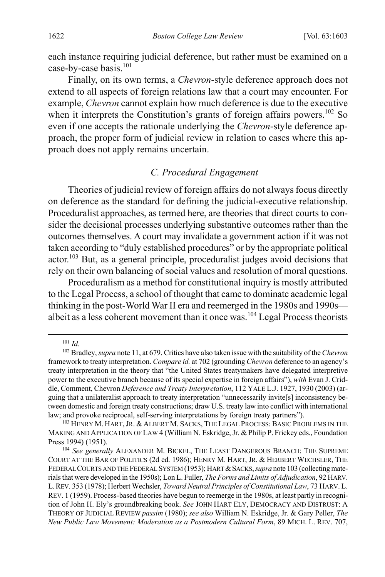each instance requiring judicial deference, but rather must be examined on a case-by-case basis.<sup>101</sup>

Finally, on its own terms, a *Chevron*-style deference approach does not extend to all aspects of foreign relations law that a court may encounter. For example, *Chevron* cannot explain how much deference is due to the executive when it interprets the Constitution's grants of foreign affairs powers.<sup>102</sup> So even if one accepts the rationale underlying the *Chevron*-style deference approach, the proper form of judicial review in relation to cases where this approach does not apply remains uncertain.

#### <span id="page-20-2"></span><span id="page-20-0"></span>*C. Procedural Engagement*

Theories of judicial review of foreign affairs do not always focus directly on deference as the standard for defining the judicial-executive relationship. Proceduralist approaches, as termed here, are theories that direct courts to consider the decisional processes underlying substantive outcomes rather than the outcomes themselves. A court may invalidate a government action if it was not taken according to "duly established procedures" or by the appropriate political actor.<sup>103</sup> But, as a general principle, proceduralist judges avoid decisions that rely on their own balancing of social values and resolution of moral questions.

<span id="page-20-1"></span>Proceduralism as a method for constitutional inquiry is mostly attributed to the Legal Process, a school of thought that came to dominate academic legal thinking in the post-World War II era and reemerged in the 1980s and 1990s–– albeit as a less coherent movement than it once was.<sup>104</sup> Legal Process theorists

 <sup>101</sup> *Id.*

<sup>102</sup> Bradley, *supra* not[e 11,](#page-4-0) at 679. Critics have also taken issue with the suitability of the *Chevron* framework to treaty interpretation. *Compare id.* at 702 (grounding *Chevron* deference to an agency's treaty interpretation in the theory that "the United States treatymakers have delegated interpretive power to the executive branch because of its special expertise in foreign affairs"), *with* Evan J. Criddle, Comment, Chevron *Deference and Treaty Interpretation*, 112 YALE L.J. 1927, 1930 (2003) (arguing that a unilateralist approach to treaty interpretation "unnecessarily invite[s] inconsistency between domestic and foreign treaty constructions; draw U.S. treaty law into conflict with international law; and provoke reciprocal, self-serving interpretations by foreign treaty partners").

<sup>103</sup> HENRY M. HART,JR. & ALBERT M. SACKS, THE LEGAL PROCESS: BASIC PROBLEMS IN THE MAKING AND APPLICATION OF LAW 4 (William N. Eskridge, Jr. & Philip P. Frickey eds., Foundation Press 1994) (1951).

<sup>104</sup> *See generally* ALEXANDER M. BICKEL, THE LEAST DANGEROUS BRANCH: THE SUPREME COURT AT THE BAR OF POLITICS (2d ed. 1986); HENRY M. HART, JR. & HERBERT WECHSLER, THE FEDERAL COURTS AND THE FEDERAL SYSTEM (1953); HART &SACKS,*supra* not[e 103](#page-20-1) (collecting materials that were developed in the 1950s); Lon L. Fuller, *The Forms and Limits of Adjudication*, 92 HARV. L.REV. 353 (1978); Herbert Wechsler, *Toward Neutral Principles of Constitutional Law*, 73 HARV. L. REV. 1 (1959). Process-based theories have begun to reemerge in the 1980s, at least partly in recognition of John H. Ely's groundbreaking book. *See* JOHN HART ELY, DEMOCRACY AND DISTRUST: A THEORY OF JUDICIAL REVIEW *passim* (1980); *see also* William N. Eskridge, Jr. & Gary Peller, *The New Public Law Movement: Moderation as a Postmodern Cultural Form*, 89 MICH. L. REV. 707,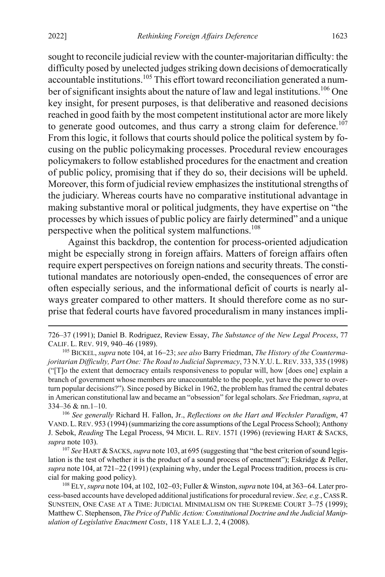sought to reconcile judicial review with the counter-majoritarian difficulty: the difficulty posed by unelected judges striking down decisions of democratically accountable institutions.105 This effort toward reconciliation generated a number of significant insights about the nature of law and legal institutions.<sup>106</sup> One key insight, for present purposes, is that deliberative and reasoned decisions reached in good faith by the most competent institutional actor are more likely to generate good outcomes, and thus carry a strong claim for deference.<sup>107</sup> From this logic, it follows that courts should police the political system by focusing on the public policymaking processes. Procedural review encourages policymakers to follow established procedures for the enactment and creation of public policy, promising that if they do so, their decisions will be upheld. Moreover, this form of judicial review emphasizes the institutional strengths of the judiciary. Whereas courts have no comparative institutional advantage in making substantive moral or political judgments, they have expertise on "the processes by which issues of public policy are fairly determined" and a unique perspective when the political system malfunctions.<sup>108</sup>

Against this backdrop, the contention for process-oriented adjudication might be especially strong in foreign affairs. Matters of foreign affairs often require expert perspectives on foreign nations and security threats. The constitutional mandates are notoriously open-ended, the consequences of error are often especially serious, and the informational deficit of courts is nearly always greater compared to other matters. It should therefore come as no surprise that federal courts have favored proceduralism in many instances impli-

<sup>107</sup> See HART & SACKS, *supra* not[e 103,](#page-20-1) at 695 (suggesting that "the best criterion of sound legislation is the test of whether it is the product of a sound process of enactment"); Eskridge & Peller, *supra* not[e 104,](#page-20-2) at 721–22 (1991) (explaining why, under the Legal Process tradition, process is crucial for making good policy).

 <sup>726–37</sup> (1991); Daniel B. Rodriguez, Review Essay, *The Substance of the New Legal Process*, 77 CALIF. L. REV. 919, 940–46 (1989).

<sup>105</sup> BICKEL, *supra* not[e 104,](#page-20-2) at 16−23; *see also* Barry Friedman, *The History of the Countermajoritarian Difficulty, Part One: The Road to Judicial Supremacy*, 73 N.Y.U. L.REV. 333, 335 (1998) ("[T]o the extent that democracy entails responsiveness to popular will, how [does one] explain a branch of government whose members are unaccountable to the people, yet have the power to overturn popular decisions?"). Since posed by Bickel in 1962, the problem has framed the central debates in American constitutional law and became an "obsession" for legal scholars. *See* Friedman, *supra*, at 334–36 & nn.1–10.

<sup>106</sup> *See generally* Richard H. Fallon, Jr., *Reflections on the Hart and Wechsler Paradigm*, 47 VAND. L.REV. 953 (1994) (summarizing the core assumptions of the Legal Process School); Anthony J. Sebok, *Reading* The Legal Process, 94 MICH. L. REV. 1571 (1996) (reviewing HART & SACKS, *supra* not[e 103\)](#page-20-1).

<sup>108</sup> ELY, *supra* not[e 104,](#page-20-2) at 102, 102−03; Fuller & Winston, *supra* not[e 104,](#page-20-2) at 363−64. Later process-based accounts have developed additional justifications for procedural review. *See, e.g.*, CASS R. SUNSTEIN, ONE CASE AT A TIME: JUDICIAL MINIMALISM ON THE SUPREME COURT 3–75 (1999); Matthew C. Stephenson, *The Price of Public Action: Constitutional Doctrine and the Judicial Manipulation of Legislative Enactment Costs*, 118 YALE L.J. 2, 4 (2008).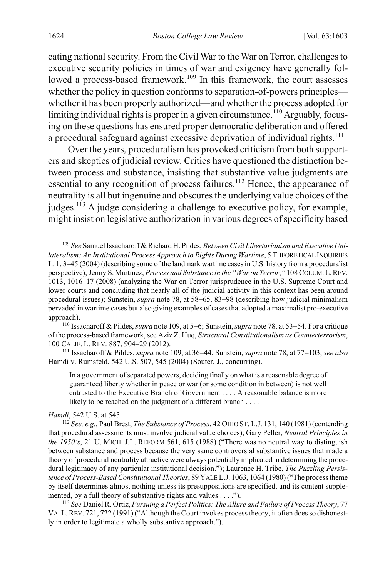<span id="page-22-0"></span>cating national security. From the Civil War to the War on Terror, challenges to executive security policies in times of war and exigency have generally followed a process-based framework.<sup>109</sup> In this framework, the court assesses whether the policy in question conforms to separation-of-powers principles whether it has been properly authorized—and whether the process adopted for limiting individual rights is proper in a given circumstance.<sup> $110$ </sup> Arguably, focusing on these questions has ensured proper democratic deliberation and offered a procedural safeguard against excessive deprivation of individual rights.<sup>111</sup>

<span id="page-22-1"></span>Over the years, proceduralism has provoked criticism from both supporters and skeptics of judicial review. Critics have questioned the distinction between process and substance, insisting that substantive value judgments are essential to any recognition of process failures.<sup>112</sup> Hence, the appearance of neutrality is all but ingenuine and obscures the underlying value choices of the judges.<sup>113</sup> A judge considering a challenge to executive policy, for example, might insist on legislative authorization in various degrees of specificity based

<sup>111</sup> Issacharoff & Pildes, *supra* note [109,](#page-22-0) at 36−44; Sunstein, *supra* not[e 78,](#page-15-1) at 77−103; *see also* Hamdi v. Rumsfeld, 542 U.S. 507, 545 (2004) (Souter, J., concurring).

In a government of separated powers, deciding finally on what is a reasonable degree of guaranteed liberty whether in peace or war (or some condition in between) is not well entrusted to the Executive Branch of Government . . . . A reasonable balance is more likely to be reached on the judgment of a different branch . . . .

#### *Hamdi*, 542 U.S. at 545.

<sup>112</sup> *See, e.g.*, Paul Brest, *The Substance of Process*, 42 OHIO ST. L.J. 131, 140 (1981) (contending that procedural assessments must involve judicial value choices); Gary Peller, *Neutral Principles in the 1950's*, 21 U. MICH. J.L. REFORM 561, 615 (1988) ("There was no neutral way to distinguish between substance and process because the very same controversial substantive issues that made a theory of procedural neutrality attractive were always potentially implicated in determining the procedural legitimacy of any particular institutional decision."); Laurence H. Tribe, *The Puzzling Persistence of Process-Based Constitutional Theories*, 89 YALE L.J. 1063, 1064 (1980) ("The process theme by itself determines almost nothing unless its presuppositions are specified, and its content supplemented, by a full theory of substantive rights and values . . . .").

<sup>113</sup> *See* Daniel R. Ortiz, *Pursuing a Perfect Politics: The Allure and Failure of Process Theory*, 77 VA.L.REV. 721, 722 (1991) ("Although the Court invokes process theory, it often does so dishonestly in order to legitimate a wholly substantive approach.").

 <sup>109</sup> *See* Samuel Issacharoff & Richard H. Pildes, *Between Civil Libertarianism and Executive Unilateralism: An Institutional Process Approach to Rights During Wartime*, 5 THEORETICAL INQUIRIES L. 1, 3–45 (2004) (describing some of the landmark wartime cases in U.S. history from a proceduralist perspective); Jenny S. Martinez, *Process and Substance in the "War on Terror*,*"* 108 COLUM.L.REV. 1013, 1016–17 (2008) (analyzing the War on Terror jurisprudence in the U.S. Supreme Court and lower courts and concluding that nearly all of the judicial activity in this context has been around procedural issues); Sunstein, *supra* note [78,](#page-15-1) at 58−65, 83−98 (describing how judicial minimalism pervaded in wartime cases but also giving examples of cases that adopted a maximalist pro-executive approach).

<sup>110</sup> Issacharoff & Pildes, *supra* not[e 109,](#page-22-0) at 5−6; Sunstein, *supra* not[e 78,](#page-15-1) at 53−54. For a critique of the process-based framework, see Aziz Z. Huq, *Structural Constitutionalism as Counterterrorism*, 100 CALIF. L. REV. 887, 904–29 (2012).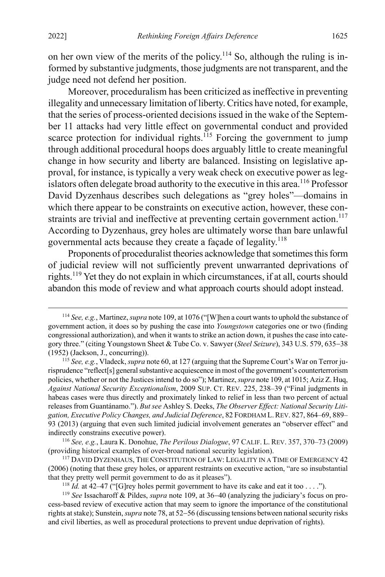on her own view of the merits of the policy.<sup>114</sup> So, although the ruling is informed by substantive judgments, those judgments are not transparent, and the judge need not defend her position.

<span id="page-23-1"></span>Moreover, proceduralism has been criticized as ineffective in preventing illegality and unnecessary limitation of liberty. Critics have noted, for example, that the series of process-oriented decisions issued in the wake of the September 11 attacks had very little effect on governmental conduct and provided scarce protection for individual rights.<sup>115</sup> Forcing the government to jump through additional procedural hoops does arguably little to create meaningful change in how security and liberty are balanced. Insisting on legislative approval, for instance, is typically a very weak check on executive power as legislators often delegate broad authority to the executive in this area.<sup>116</sup> Professor David Dyzenhaus describes such delegations as "grey holes"—domains in which there appear to be constraints on executive action, however, these constraints are trivial and ineffective at preventing certain government action.<sup>117</sup> According to Dyzenhaus, grey holes are ultimately worse than bare unlawful governmental acts because they create a façade of legality.118

<span id="page-23-0"></span>Proponents of proceduralist theories acknowledge that sometimes this form of judicial review will not sufficiently prevent unwarranted deprivations of rights.119 Yet they do not explain in which circumstances, if at all, courts should abandon this mode of review and what approach courts should adopt instead.

 <sup>114</sup> *See, e.g.*, Martinez, *supra* not[e 109,](#page-22-0) at 1076 ("[W]hen a court wants to uphold the substance of government action, it does so by pushing the case into *Youngstown* categories one or two (finding congressional authorization), and when it wants to strike an action down, it pushes the case into category three." (citing Youngstown Sheet & Tube Co. v. Sawyer (*Steel Seizure*), 343 U.S. 579, 635−38 (1952) (Jackson, J., concurring)).

<sup>115</sup> *See, e.g.*, Vladeck, *supra* not[e 60,](#page-12-0) at 127 (arguing that the Supreme Court's War on Terror jurisprudence "reflect[s] general substantive acquiescence in most of the government's counterterrorism policies, whether or not the Justices intend to do so"); Martinez, *supra* not[e 109,](#page-22-0) at 1015; Aziz Z. Huq, *Against National Security Exceptionalism*, 2009 SUP. CT. REV. 225, 238–39 ("Final judgments in habeas cases were thus directly and proximately linked to relief in less than two percent of actual releases from Guantánamo."). *But see* Ashley S. Deeks, *The Observer Effect: National Security Litigation, Executive Policy Changes, and Judicial Deference*, 82 FORDHAM L.REV. 827, 864–69, 889– 93 (2013) (arguing that even such limited judicial involvement generates an "observer effect" and indirectly constrains executive power).

<sup>116</sup> *See, e.g.*, Laura K. Donohue, *The Perilous Dialogue*, 97 CALIF. L. REV. 357, 370–73 (2009) (providing historical examples of over-broad national security legislation).

<sup>&</sup>lt;sup>117</sup> DAVID DYZENHAUS, THE CONSTITUTION OF LAW: LEGALITY IN A TIME OF EMERGENCY 42 (2006) (noting that these grey holes, or apparent restraints on executive action, "are so insubstantial that they pretty well permit government to do as it pleases").

<sup>&</sup>lt;sup>118</sup> *Id.* at 42–47 ("[G]rey holes permit government to have its cake and eat it too . . . .").

<sup>119</sup> *See* Issacharoff & Pildes, *supra* not[e 109,](#page-22-0) at 36−40 (analyzing the judiciary's focus on process-based review of executive action that may seem to ignore the importance of the constitutional rights at stake); Sunstein, *supra* not[e 78,](#page-15-1) at 52−56 (discussing tensions between national security risks and civil liberties, as well as procedural protections to prevent undue deprivation of rights).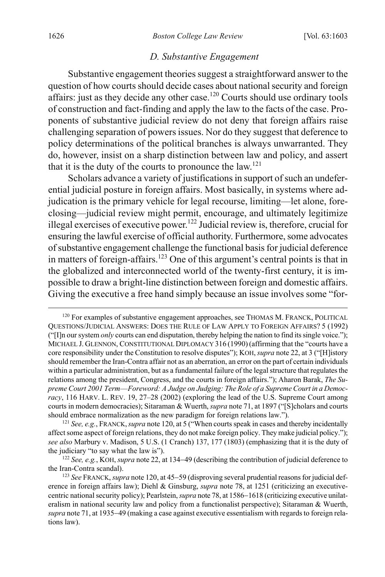#### <span id="page-24-0"></span>*D. Substantive Engagement*

Substantive engagement theories suggest a straightforward answer to the question of how courts should decide cases about national security and foreign affairs: just as they decide any other case.<sup>120</sup> Courts should use ordinary tools of construction and fact-finding and apply the law to the facts of the case. Proponents of substantive judicial review do not deny that foreign affairs raise challenging separation of powers issues. Nor do they suggest that deference to policy determinations of the political branches is always unwarranted. They do, however, insist on a sharp distinction between law and policy, and assert that it is the duty of the courts to pronounce the  $law$ .<sup>121</sup>

Scholars advance a variety of justifications in support of such an undeferential judicial posture in foreign affairs. Most basically, in systems where adjudication is the primary vehicle for legal recourse, limiting—let alone, foreclosing—judicial review might permit, encourage, and ultimately legitimize illegal exercises of executive power.<sup>122</sup> Judicial review is, therefore, crucial for ensuring the lawful exercise of official authority. Furthermore, some advocates of substantive engagement challenge the functional basis for judicial deference in matters of foreign-affairs.<sup>123</sup> One of this argument's central points is that in the globalized and interconnected world of the twenty-first century, it is impossible to draw a bright-line distinction between foreign and domestic affairs. Giving the executive a free hand simply because an issue involves some "for-

<sup>&</sup>lt;sup>120</sup> For examples of substantive engagement approaches, see THOMAS M. FRANCK, POLITICAL QUESTIONS/JUDICIAL ANSWERS: DOES THE RULE OF LAW APPLY TO FOREIGN AFFAIRS? 5 (1992) ("[I]n our system *only* courts can end disputation, thereby helping the nation to find its single voice."); MICHAEL J. GLENNON, CONSTITUTIONAL DIPLOMACY 316 (1990)(affirming that the "courts have a core responsibility under the Constitution to resolve disputes"); KOH, *supra* note [22,](#page-6-0) at 3 ("[H]istory should remember the Iran-Contra affair not as an aberration, an error on the part of certain individuals within a particular administration, but as a fundamental failure of the legal structure that regulates the relations among the president, Congress, and the courts in foreign affairs."); Aharon Barak, *The Supreme Court 2001 Term––Foreword: A Judge on Judging: The Role of a Supreme Court in a Democracy*, 116 HARV. L. REV. 19, 27–28 (2002) (exploring the lead of the U.S. Supreme Court among courts in modern democracies); Sitaraman & Wuerth, *supra* not[e 71,](#page-15-0) at 1897 ("[S]cholars and courts should embrace normalization as the new paradigm for foreign relations law.").

<sup>121</sup> *See, e.g.*, FRANCK,*supra* not[e 120,](#page-24-0) at 5 ("When courts speak in cases and thereby incidentally affect some aspect of foreign relations, they do not make foreign policy. They make judicial policy."); *see also* Marbury v. Madison, 5 U.S. (1 Cranch) 137, 177 (1803) (emphasizing that it is the duty of the judiciary "to say what the law is").

<sup>122</sup> *See, e.g.*, KOH, *supra* not[e 22,](#page-6-0) at 134−49 (describing the contribution of judicial deference to the Iran-Contra scandal).

<sup>123</sup> *See* FRANCK, *supra* not[e 120,](#page-24-0) at 45−59 (disproving several prudential reasons for judicial deference in foreign affairs law); Diehl & Ginsburg, *supra* note [78,](#page-15-1) at 1251 (criticizing an executivecentric national security policy); Pearlstein,*supra* not[e 78,](#page-15-1) at 1586−1618 (criticizing executive unilateralism in national security law and policy from a functionalist perspective); Sitaraman & Wuerth, *supra* not[e 71,](#page-15-0) at 1935−49 (making a case against executive essentialism with regards to foreign relations law).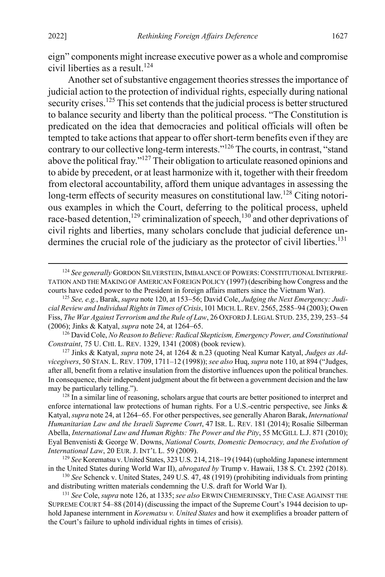eign" components might increase executive power as a whole and compromise civil liberties as a result. 124

<span id="page-25-0"></span>Another set of substantive engagement theories stresses the importance of judicial action to the protection of individual rights, especially during national security crises.<sup>125</sup> This set contends that the judicial process is better structured to balance security and liberty than the political process. "The Constitution is predicated on the idea that democracies and political officials will often be tempted to take actions that appear to offer short-term benefits even if they are contrary to our collective long-term interests."126 The courts, in contrast, "stand above the political fray."127 Their obligation to articulate reasoned opinions and to abide by precedent, or at least harmonize with it, together with their freedom from electoral accountability, afford them unique advantages in assessing the long-term effects of security measures on constitutional law.<sup>128</sup> Citing notorious examples in which the Court, deferring to the political process, upheld race-based detention,<sup>129</sup> criminalization of speech,<sup>130</sup> and other deprivations of civil rights and liberties, many scholars conclude that judicial deference undermines the crucial role of the judiciary as the protector of civil liberties.<sup>131</sup>

<sup>126</sup> David Cole, *No Reason to Believe: Radical Skepticism, Emergency Power, and Constitutional Constraint*, 75 U. CHI. L. REV. 1329, 1341 (2008) (book review).

<sup>127</sup> Jinks & Katyal, *supra* note [24,](#page-6-1) at 1264 & n.23 (quoting Neal Kumar Katyal, *Judges as Advicegivers*, 50 STAN. L. REV. 1709, 1711–12 (1998)); *see also* Huq, *supra* not[e 110,](#page-22-1) at 894 ("Judges, after all, benefit from a relative insulation from the distortive influences upon the political branches. In consequence, their independent judgment about the fit between a government decision and the law may be particularly telling.").

<sup>128</sup> In a similar line of reasoning, scholars argue that courts are better positioned to interpret and enforce international law protections of human rights. For a U.S.-centric perspective, see Jinks & Katyal, *supra* not[e 24,](#page-6-1) at 1264−65. For other perspectives, see generally Aharon Barak, *International Humanitarian Law and the Israeli Supreme Court*, 47 ISR. L. REV. 181 (2014); Rosalie Silberman Abella, *International Law and Human Rights: The Power and the Pity*, 55 MCGILL L.J. 871 (2010); Eyal Benvenisti & George W. Downs, *National Courts, Domestic Democracy, and the Evolution of International Law*, 20 EUR. J. INT'L L. 59 (2009).

<sup>129</sup> *See* Korematsu v. United States, 323 U.S. 214, 218−19 (1944) (upholding Japanese internment in the United States during World War II), *abrogated by* Trump v. Hawaii, 138 S. Ct. 2392 (2018).

<sup>130</sup> *See* Schenck v. United States, 249 U.S. 47, 48 (1919) (prohibiting individuals from printing and distributing written materials condemning the U.S. draft for World War I).

<sup>131</sup> *See* Cole, *supra* note [126,](#page-25-0) at 1335; *see also* ERWIN CHEMERINSKY, THE CASE AGAINST THE SUPREME COURT 54–88 (2014) (discussing the impact of the Supreme Court's 1944 decision to uphold Japanese internment in *Korematsu v. United States* and how it exemplifies a broader pattern of the Court's failure to uphold individual rights in times of crisis).

<sup>&</sup>lt;sup>124</sup> See generally GORDON SILVERSTEIN, IMBALANCE OF POWERS: CONSTITUTIONAL INTERPRE-TATION AND THE MAKING OF AMERICAN FOREIGN POLICY (1997) (describing how Congress and the courts have ceded power to the President in foreign affairs matters since the Vietnam War).

<sup>125</sup> *See, e.g.*, Barak, *supra* not[e 120,](#page-24-0) at 153−56; David Cole, *Judging the Next Emergency: Judicial Review and Individual Rights in Times of Crisis*, 101 MICH.L.REV. 2565, 2585–94 (2003); Owen Fiss, *The War Against Terrorism and the Rule of Law*, 26 OXFORD J.LEGAL STUD. 235, 239, 253–54 (2006); Jinks & Katyal, *supra* not[e 24,](#page-6-1) at 1264−65.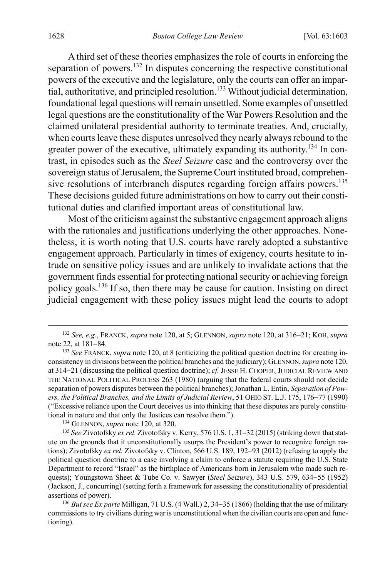A third set of these theories emphasizes the role of courts in enforcing the separation of powers.<sup>132</sup> In disputes concerning the respective constitutional powers of the executive and the legislature, only the courts can offer an impartial, authoritative, and principled resolution.133 Without judicial determination, foundational legal questions will remain unsettled. Some examples of unsettled legal questions are the constitutionality of the War Powers Resolution and the claimed unilateral presidential authority to terminate treaties. And, crucially, when courts leave these disputes unresolved they nearly always rebound to the greater power of the executive, ultimately expanding its authority.<sup>134</sup> In contrast, in episodes such as the *Steel Seizure* case and the controversy over the sovereign status of Jerusalem, the Supreme Court instituted broad, comprehensive resolutions of interbranch disputes regarding foreign affairs powers.<sup>135</sup> These decisions guided future administrations on how to carry out their constitutional duties and clarified important areas of constitutional law.

Most of the criticism against the substantive engagement approach aligns with the rationales and justifications underlying the other approaches. Nonetheless, it is worth noting that U.S. courts have rarely adopted a substantive engagement approach. Particularly in times of exigency, courts hesitate to intrude on sensitive policy issues and are unlikely to invalidate actions that the government finds essential for protecting national security or achieving foreign policy goals.136 If so, then there may be cause for caution. Insisting on direct judicial engagement with these policy issues might lead the courts to adopt

<sup>136</sup> *But see Ex parte* Milligan, 71 U.S. (4 Wall.) 2, 34−35 (1866) (holding that the use of military commissions to try civilians during war is unconstitutional when the civilian courts are open and functioning).

<span id="page-26-0"></span> <sup>132</sup> *See, e.g.*, FRANCK, *supra* not[e 120,](#page-24-0) at 5; GLENNON, *supra* not[e 120,](#page-24-0) at 316−21; KOH, *supra* note [22,](#page-6-0) at 181−84.

<sup>133</sup> *See* FRANCK, *supra* not[e 120,](#page-24-0) at 8 (criticizing the political question doctrine for creating inconsistency in divisions between the political branches and the judiciary); GLENNON, *supra* not[e 120,](#page-24-0) at 314−21 (discussing the political question doctrine); *cf.* JESSE H. CHOPER, JUDICIAL REVIEW AND THE NATIONAL POLITICAL PROCESS 263 (1980) (arguing that the federal courts should not decide separation of powers disputes between the political branches); Jonathan L. Entin, *Separation of Powers, the Political Branches, and the Limits of Judicial Review*, 51 OHIO ST. L.J. 175, 176−77 (1990) ("Excessive reliance upon the Court deceives us into thinking that these disputes are purely constitutional in nature and that only the Justices can resolve them.").

<sup>134</sup> GLENNON, *supra* not[e 120,](#page-24-0) at 320.

<sup>&</sup>lt;sup>135</sup> See Zivotofsky ex rel. Zivotofsky v. Kerry, 576 U.S. 1, 31-32 (2015) (striking down that statute on the grounds that it unconstitutionally usurps the President's power to recognize foreign nations); Zivotofsky *ex rel.* Zivotofsky v. Clinton, 566 U.S. 189, 192−93 (2012) (refusing to apply the political question doctrine to a case involving a claim to enforce a statute requiring the U.S. State Department to record "Israel" as the birthplace of Americans born in Jerusalem who made such requests); Youngstown Sheet & Tube Co. v. Sawyer (*Steel Seizure*), 343 U.S. 579, 634−55 (1952) (Jackson, J., concurring) (setting forth a framework for assessing the constitutionality of presidential assertions of power).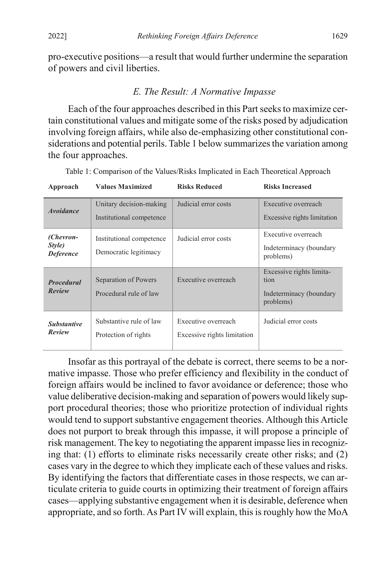pro-executive positions—a result that would further undermine the separation of powers and civil liberties.

### *E. The Result: A Normative Impasse*

Each of the four approaches described in this Part seeks to maximize certain constitutional values and mitigate some of the risks posed by adjudication involving foreign affairs, while also de-emphasizing other constitutional considerations and potential perils. Table 1 below summarizes the variation among the four approaches.

| Approach                                | <b>Values Maximized</b>  | <b>Risks Reduced</b>        | <b>Risks Increased</b>               |
|-----------------------------------------|--------------------------|-----------------------------|--------------------------------------|
| <i><b>Avoidance</b></i>                 | Unitary decision-making  | Judicial error costs        | Executive overreach                  |
|                                         | Institutional competence |                             | Excessive rights limitation          |
| (Chevron-<br>Style)<br><b>Deference</b> | Institutional competence | Judicial error costs        | Executive overreach                  |
|                                         | Democratic legitimacy    |                             | Indeterminacy (boundary<br>problems) |
| <b>Procedural</b>                       | Separation of Powers     | Executive overreach         | Excessive rights limita-<br>tion     |
| Review                                  | Procedural rule of law   |                             | Indeterminacy (boundary<br>problems) |
| <b>Substantive</b><br>Review            | Substantive rule of law  | Executive overreach         | Judicial error costs                 |
|                                         | Protection of rights     | Excessive rights limitation |                                      |
|                                         |                          |                             |                                      |

Table 1: Comparison of the Values/Risks Implicated in Each Theoretical Approach

Insofar as this portrayal of the debate is correct, there seems to be a normative impasse. Those who prefer efficiency and flexibility in the conduct of foreign affairs would be inclined to favor avoidance or deference; those who value deliberative decision-making and separation of powers would likely support procedural theories; those who prioritize protection of individual rights would tend to support substantive engagement theories. Although this Article does not purport to break through this impasse, it will propose a principle of risk management. The key to negotiating the apparent impasse lies in recognizing that: (1) efforts to eliminate risks necessarily create other risks; and (2) cases vary in the degree to which they implicate each of these values and risks. By identifying the factors that differentiate cases in those respects, we can articulate criteria to guide courts in optimizing their treatment of foreign affairs cases—applying substantive engagement when it is desirable, deference when appropriate, and so forth. As Part IV will explain, this is roughly how the MoA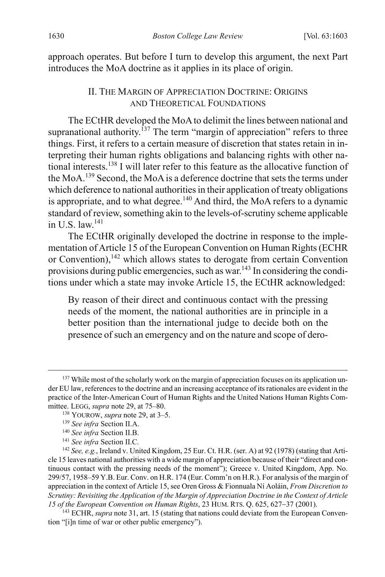approach operates. But before I turn to develop this argument, the next Part introduces the MoA doctrine as it applies in its place of origin.

### <span id="page-28-0"></span>II. THE MARGIN OF APPRECIATION DOCTRINE: ORIGINS AND THEORETICAL FOUNDATIONS

The ECtHR developed the MoAto delimit the lines between national and supranational authority.<sup>137</sup> The term "margin of appreciation" refers to three things. First, it refers to a certain measure of discretion that states retain in interpreting their human rights obligations and balancing rights with other national interests.138 I will later refer to this feature as the allocative function of the MoA.<sup>139</sup> Second, the MoA is a deference doctrine that sets the terms under which deference to national authorities in their application of treaty obligations is appropriate, and to what degree.<sup>140</sup> And third, the MoA refers to a dynamic standard of review, something akin to the levels-of-scrutiny scheme applicable in U.S. law. $141$ 

The ECtHR originally developed the doctrine in response to the implementation of Article 15 of the European Convention on Human Rights(ECHR or Convention),<sup>142</sup> which allows states to derogate from certain Convention provisions during public emergencies, such as war.<sup>143</sup> In considering the conditions under which a state may invoke Article 15, the ECtHR acknowledged:

<span id="page-28-1"></span>By reason of their direct and continuous contact with the pressing needs of the moment, the national authorities are in principle in a better position than the international judge to decide both on the presence of such an emergency and on the nature and scope of dero-

<sup>&</sup>lt;sup>137</sup> While most of the scholarly work on the margin of appreciation focuses on its application under EU law, references to the doctrine and an increasing acceptance of its rationales are evident in the practice of the Inter-American Court of Human Rights and the United Nations Human Rights Committee. LEGG, *supra* not[e 29,](#page-7-0) at 75–80.

<sup>138</sup> YOUROW, *supra* not[e 29,](#page-7-0) at 3–5.

<sup>139</sup> *See infra* Section II.A.

<sup>140</sup> *See infra* Section II.B.

<sup>141</sup> *See infra* Section II.C.

<sup>142</sup> *See, e.g.*, Ireland v. United Kingdom, 25 Eur. Ct. H.R. (ser. A) at 92 (1978) (stating that Article 15 leaves national authorities with a wide margin of appreciation because of their "direct and continuous contact with the pressing needs of the moment"); Greece v. United Kingdom, App. No. 299/57, 1958–59 Y.B. Eur. Conv. on H.R. 174 (Eur. Comm'n on H.R.). For analysis of the margin of appreciation in the context of Article 15, see Oren Gross & Fionnuala Ní Aoláin, *From Discretion to Scrutiny: Revisiting the Application of the Margin of Appreciation Doctrine in the Context of Article 15 of the European Convention on Human Rights*, 23 HUM. RTS. Q. 625, 627−37 (2001).

<sup>&</sup>lt;sup>143</sup> ECHR, *supra* not[e 31,](#page-8-0) art. 15 (stating that nations could deviate from the European Convention "[i]n time of war or other public emergency").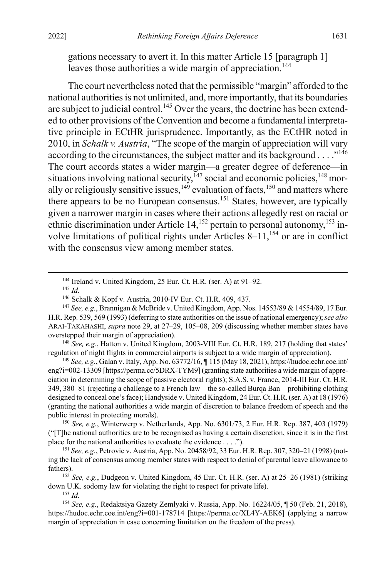gations necessary to avert it. In this matter Article 15 [paragraph 1] leaves those authorities a wide margin of appreciation.<sup>144</sup>

The court nevertheless noted that the permissible "margin" afforded to the national authorities is not unlimited, and, more importantly, that its boundaries are subject to judicial control.<sup>145</sup> Over the years, the doctrine has been extended to other provisions of the Convention and become a fundamental interpretative principle in ECtHR jurisprudence. Importantly, as the ECtHR noted in 2010, in *Schalk v. Austria*, "The scope of the margin of appreciation will vary according to the circumstances, the subject matter and its background  $\dots$ ."<sup>146</sup> The court accords states a wider margin—a greater degree of deference—in situations involving national security, $147$  social and economic policies, $148$  morally or religiously sensitive issues,  $149$  evaluation of facts,  $150$  and matters where there appears to be no European consensus.151 States, however, are typically given a narrower margin in cases where their actions allegedly rest on racial or ethnic discrimination under Article 14,<sup>152</sup> pertain to personal autonomy,<sup>153</sup> involve limitations of political rights under Articles  $8-11$ ,<sup>154</sup> or are in conflict with the consensus view among member states.

<sup>148</sup> *See, e.g.*, Hatton v. United Kingdom, 2003-VIII Eur. Ct. H.R. 189, 217 (holding that states' regulation of night flights in commercial airports is subject to a wide margin of appreciation).

<sup>149</sup> *See, e.g.*, Galan v. Italy, App. No. 63772/16, ¶ 115 (May 18, 2021), https://hudoc.echr.coe.int/ eng?i=002-13309 [https://perma.cc/5DRX-TYM9](granting state authorities a wide margin of appreciation in determining the scope of passive electoral rights); S.A.S. v. France, 2014-III Eur. Ct. H.R. 349, 380–81 (rejecting a challenge to a French law—the so-called Burqa Ban—prohibiting clothing designed to conceal one's face); Handyside v. United Kingdom, 24 Eur. Ct. H.R. (ser. A) at 18 (1976) (granting the national authorities a wide margin of discretion to balance freedom of speech and the public interest in protecting morals).

<sup>150</sup> *See, e.g.*, Winterwerp v. Netherlands, App. No. 6301/73, 2 Eur. H.R. Rep. 387, 403 (1979) ("[T]he national authorities are to be recognised as having a certain discretion, since it is in the first place for the national authorities to evaluate the evidence . . . .").

<sup>151</sup> *See, e.g.*, Petrovic v. Austria, App. No. 20458/92, 33 Eur. H.R. Rep. 307, 320–21 (1998) (noting the lack of consensus among member states with respect to denial of parental leave allowance to fathers).

<sup>152</sup> *See, e.g.*, Dudgeon v. United Kingdom, 45 Eur. Ct. H.R. (ser. A) at 25–26 (1981) (striking down U.K. sodomy law for violating the right to respect for private life).

<sup>153</sup> *Id.*

<sup>154</sup> *See, e.g.*, Redaktsiya Gazety Zemlyaki v. Russia, App. No. 16224/05, ¶ 50 (Feb. 21, 2018), https://hudoc.echr.coe.int/eng?i=001-178714 [https://perma.cc/XL4Y-AEK6] (applying a narrow margin of appreciation in case concerning limitation on the freedom of the press).

 <sup>144</sup> Ireland v. United Kingdom, 25 Eur. Ct. H.R. (ser. A) at 91–92.

<sup>145</sup> *Id.*

<sup>146</sup> Schalk & Kopf v. Austria, 2010-IV Eur. Ct. H.R. 409, 437.

<sup>147</sup> *See, e.g.*, Brannigan & McBride v. United Kingdom, App. Nos. 14553/89 & 14554/89, 17 Eur. H.R. Rep. 539, 569 (1993) (deferring to state authorities on the issue of national emergency); *see also* ARAI-TAKAHASHI, *supra* note [29,](#page-7-0) at 27–29, 105–08, 209 (discussing whether member states have overstepped their margin of appreciation).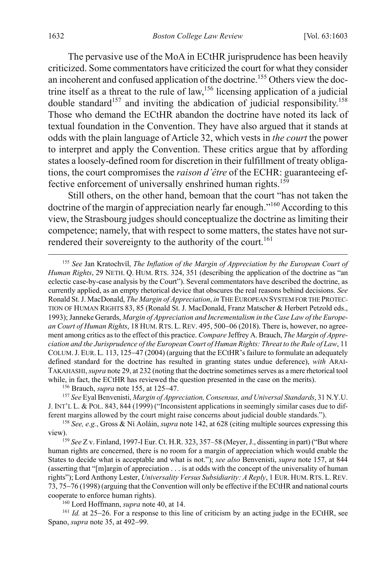<span id="page-30-2"></span><span id="page-30-0"></span>The pervasive use of the MoA in ECtHR jurisprudence has been heavily criticized. Some commentators have criticized the court for what they consider an incoherent and confused application of the doctrine.155 Others view the doctrine itself as a threat to the rule of law,<sup>156</sup> licensing application of a judicial double standard<sup>157</sup> and inviting the abdication of judicial responsibility.<sup>158</sup> Those who demand the ECtHR abandon the doctrine have noted its lack of textual foundation in the Convention. They have also argued that it stands at odds with the plain language of Article 32, which vests in *the court* the power to interpret and apply the Convention. These critics argue that by affording states a loosely-defined room for discretion in their fulfillment of treaty obligations, the court compromises the *raison d'être* of the ECHR: guaranteeing effective enforcement of universally enshrined human rights.<sup>159</sup>

<span id="page-30-3"></span>Still others, on the other hand, bemoan that the court "has not taken the doctrine of the margin of appreciation nearly far enough."160 According to this view, the Strasbourg judges should conceptualize the doctrine as limiting their competence; namely, that with respect to some matters, the states have not surrendered their sovereignty to the authority of the court.<sup>161</sup>

<span id="page-30-1"></span> 155 *See* Jan Kratochvíl, *The Inflation of the Margin of Appreciation by the European Court of Human Rights*, 29 NETH. Q. HUM. RTS. 324, 351 (describing the application of the doctrine as "an eclectic case-by-case analysis by the Court"). Several commentators have described the doctrine, as currently applied, as an empty rhetorical device that obscures the real reasons behind decisions. *See* Ronald St. J. MacDonald, *The Margin of Appreciation*, *in* THE EUROPEAN SYSTEM FOR THE PROTEC-TION OF HUMAN RIGHTS 83, 85 (Ronald St. J. MacDonald, Franz Matscher & Herbert Petzold eds., 1993); Janneke Gerards, *Margin of Appreciation and Incrementalism in the Case Law of the European Court of Human Rights*, 18 HUM. RTS. L. REV. 495, 500–06 (2018). There is, however, no agreement among critics as to the effect of this practice. *Compare* Jeffrey A. Brauch, *The Margin of Appreciation and the Jurisprudence of the European Court of Human Rights: Threat to the Rule of Law*, 11 COLUM.J. EUR. L. 113, 125−47 (2004) (arguing that the ECtHR's failure to formulate an adequately defined standard for the doctrine has resulted in granting states undue deference), *with* ARAI-TAKAHASHI,*supra* not[e 29,](#page-7-0) at 232 (noting that the doctrine sometimes serves as a mere rhetorical tool while, in fact, the ECtHR has reviewed the question presented in the case on the merits).

<sup>156</sup> Brauch, *supra* not[e 155,](#page-30-0) at 125−47.

<sup>157</sup> *See* Eyal Benvenisti, *Margin of Appreciation, Consensus, and Universal Standards*, 31 N.Y.U. J. INT'L L. & POL. 843, 844 (1999) ("Inconsistent applications in seemingly similar cases due to different margins allowed by the court might raise concerns about judicial double standards.").

<sup>158</sup> *See, e.g.*, Gross & Ní Aoláin, *supra* not[e 142,](#page-28-1) at 628 (citing multiple sources expressing this view).

<sup>159</sup> *See* Z v. Finland, 1997-I Eur. Ct. H.R. 323, 357–58 (Meyer, J., dissenting in part) ("But where human rights are concerned, there is no room for a margin of appreciation which would enable the States to decide what is acceptable and what is not."); *see also* Benvenisti, *supra* not[e 157,](#page-30-2) at 844 (asserting that "[m]argin of appreciation . . . is at odds with the concept of the universality of human rights"); Lord Anthony Lester, *Universality Versus Subsidiarity: A Reply*, 1 EUR. HUM.RTS. L.REV. 73, 75−76 (1998) (arguing that the Convention will only be effective if the ECtHR and national courts cooperate to enforce human rights).

<sup>160</sup> Lord Hoffmann, *supra* note [40,](#page-9-0) at 14.

<sup>161</sup> *Id.* at 25−26. For a response to this line of criticism by an acting judge in the ECtHR, see Spano, *supra* note [35,](#page-8-1) at 492−99.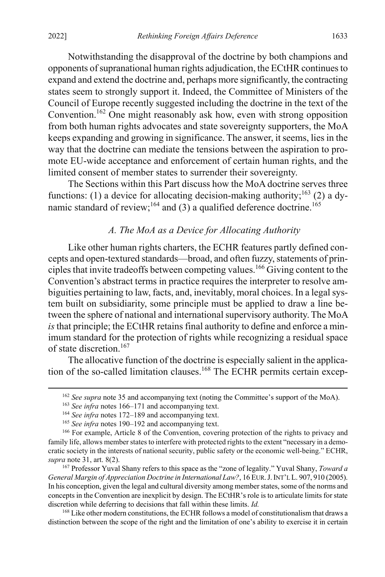Notwithstanding the disapproval of the doctrine by both champions and opponents of supranational human rights adjudication, the ECtHR continues to expand and extend the doctrine and, perhaps more significantly, the contracting states seem to strongly support it. Indeed, the Committee of Ministers of the Council of Europe recently suggested including the doctrine in the text of the Convention.<sup>162</sup> One might reasonably ask how, even with strong opposition from both human rights advocates and state sovereignty supporters, the MoA keeps expanding and growing in significance. The answer, it seems, lies in the way that the doctrine can mediate the tensions between the aspiration to promote EU-wide acceptance and enforcement of certain human rights, and the limited consent of member states to surrender their sovereignty.

The Sections within this Part discuss how the MoA doctrine serves three functions: (1) a device for allocating decision-making authority;<sup>163</sup> (2) a dynamic standard of review;<sup>164</sup> and (3) a qualified deference doctrine.<sup>165</sup>

#### <span id="page-31-0"></span>*A. The MoA as a Device for Allocating Authority*

Like other human rights charters, the ECHR features partly defined concepts and open-textured standards—broad, and often fuzzy, statements of principles that invite tradeoffs between competing values. <sup>166</sup> Giving content to the Convention's abstract terms in practice requires the interpreter to resolve ambiguities pertaining to law, facts, and, inevitably, moral choices. In a legal system built on subsidiarity, some principle must be applied to draw a line between the sphere of national and international supervisory authority. The MoA *is* that principle; the ECtHR retains final authority to define and enforce a minimum standard for the protection of rights while recognizing a residual space of state discretion.<sup>167</sup>

<span id="page-31-1"></span>The allocative function of the doctrine is especially salient in the application of the so-called limitation clauses.<sup>168</sup> The ECHR permits certain excep-

 <sup>162</sup> *See supra* note [35](#page-8-1) and accompanying text (noting the Committee's support of the MoA).

<sup>163</sup> *See infra* notes [166–](#page-31-0)[171](#page-32-0) and accompanying text.

<sup>164</sup> *See infra* notes [172–](#page-32-1)[189](#page-35-0) and accompanying text.

<sup>165</sup> *See infra* notes [190–](#page-35-1)[192](#page-36-0) and accompanying text.

<sup>166</sup> For example, Article 8 of the Convention, covering protection of the rights to privacy and family life, allows member states to interfere with protected rights to the extent "necessary in a democratic society in the interests of national security, public safety or the economic well-being." ECHR, *supra* not[e 31,](#page-8-0) art. 8(2).

<sup>167</sup> Professor Yuval Shany refers to this space as the "zone of legality." Yuval Shany, *Toward a General Margin of Appreciation Doctrine in International Law?*, 16 EUR.J.INT'L L. 907, 910 (2005). In his conception, given the legal and cultural diversity among member states, some of the norms and concepts in the Convention are inexplicit by design. The ECtHR's role is to articulate limits for state discretion while deferring to decisions that fall within these limits. *Id.*

<sup>&</sup>lt;sup>168</sup> Like other modern constitutions, the ECHR follows a model of constitutionalism that draws a distinction between the scope of the right and the limitation of one's ability to exercise it in certain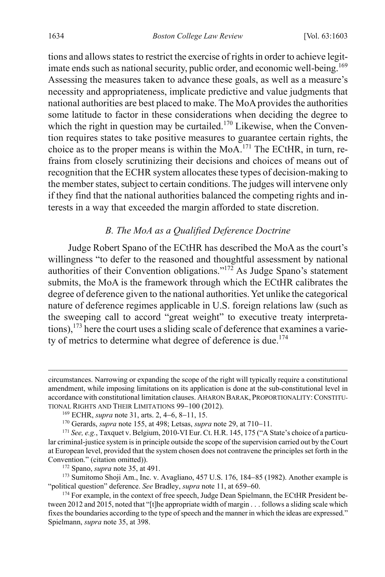tions and allows states to restrict the exercise of rights in order to achieve legitimate ends such as national security, public order, and economic well-being.<sup>169</sup> Assessing the measures taken to advance these goals, as well as a measure's necessity and appropriateness, implicate predictive and value judgments that national authorities are best placed to make. The MoA provides the authorities some latitude to factor in these considerations when deciding the degree to which the right in question may be curtailed.<sup>170</sup> Likewise, when the Convention requires states to take positive measures to guarantee certain rights, the choice as to the proper means is within the MoA.<sup>171</sup> The ECtHR, in turn, refrains from closely scrutinizing their decisions and choices of means out of recognition that the ECHR system allocates these types of decision-making to the member states, subject to certain conditions. The judges will intervene only if they find that the national authorities balanced the competing rights and interests in a way that exceeded the margin afforded to state discretion.

## <span id="page-32-1"></span><span id="page-32-0"></span>*B. The MoA as a Qualified Deference Doctrine*

Judge Robert Spano of the ECtHR has described the MoA as the court's willingness "to defer to the reasoned and thoughtful assessment by national authorities of their Convention obligations."<sup>172</sup> As Judge Spano's statement submits, the MoA is the framework through which the ECtHR calibrates the degree of deference given to the national authorities. Yet unlike the categorical nature of deference regimes applicable in U.S. foreign relations law (such as the sweeping call to accord "great weight" to executive treaty interpretations),  $173$  here the court uses a sliding scale of deference that examines a variety of metrics to determine what degree of deference is due.<sup>174</sup>

circumstances. Narrowing or expanding the scope of the right will typically require a constitutional amendment, while imposing limitations on its application is done at the sub-constitutional level in accordance with constitutional limitation clauses. AHARON BARAK, PROPORTIONALITY:CONSTITU-TIONAL RIGHTS AND THEIR LIMITATIONS 99−100 (2012).

<sup>169</sup> ECHR, *supra* not[e 31,](#page-8-0) arts. 2, 4−6, 8−11, 15.

<sup>170</sup> Gerards, *supra* not[e 155,](#page-30-0) at 498; Letsas, *supra* not[e 29,](#page-7-0) at 710−11.

<sup>171</sup> *See, e.g.*, Taxquet v. Belgium, 2010-VI Eur. Ct. H.R. 145, 175 ("A State's choice of a particular criminal-justice system is in principle outside the scope of the supervision carried out by the Court at European level, provided that the system chosen does not contravene the principles set forth in the Convention." (citation omitted)).

<sup>172</sup> Spano, *supra* note [35,](#page-8-1) at 491.

<sup>173</sup> Sumitomo Shoji Am., Inc. v. Avagliano, 457 U.S. 176, 184−85 (1982). Another example is "political question" deference. *See* Bradley, *supra* note [11,](#page-4-0) at 659−60.

<sup>&</sup>lt;sup>174</sup> For example, in the context of free speech, Judge Dean Spielmann, the ECtHR President between 2012 and 2015, noted that "[t]he appropriate width of margin . . . follows a sliding scale which fixes the boundaries according to the type of speech and the manner in which the ideas are expressed." Spielmann, *supra* note [35,](#page-8-1) at 398.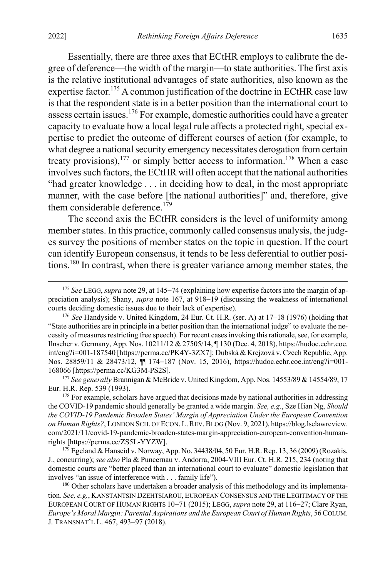Essentially, there are three axes that ECtHR employs to calibrate the degree of deference—the width of the margin—to state authorities. The first axis is the relative institutional advantages of state authorities, also known as the expertise factor.<sup>175</sup> A common justification of the doctrine in ECtHR case law is that the respondent state is in a better position than the international court to assess certain issues.<sup>176</sup> For example, domestic authorities could have a greater capacity to evaluate how a local legal rule affects a protected right, special expertise to predict the outcome of different courses of action (for example, to what degree a national security emergency necessitates derogation from certain treaty provisions),<sup>177</sup> or simply better access to information.<sup>178</sup> When a case involves such factors, the ECtHR will often accept that the national authorities "had greater knowledge . . . in deciding how to deal, in the most appropriate manner, with the case before [the national authorities]" and, therefore, give them considerable deference.<sup>179</sup>

The second axis the ECtHR considers is the level of uniformity among member states. In this practice, commonly called consensus analysis, the judges survey the positions of member states on the topic in question. If the court can identify European consensus, it tends to be less deferential to outlier positions.180 In contrast, when there is greater variance among member states, the

<sup>177</sup> *See generally* Brannigan & McBride v. United Kingdom, App. Nos. 14553/89 & 14554/89, 17 Eur. H.R. Rep. 539 (1993).

 $178$  For example, scholars have argued that decisions made by national authorities in addressing the COVID-19 pandemic should generally be granted a wide margin. *See, e.g.*, Sze Hian Ng, *Should the COVID-19 Pandemic Broaden States' Margin of Appreciation Under the European Convention on Human Rights?*, LONDON SCH. OF ECON. L.REV.BLOG (Nov. 9, 2021), https://blog.lselawreview. com/2021/11/covid-19-pandemic-broaden-states-margin-appreciation-european-convention-humanrights [https://perma.cc/ZS5L-YYZW].

<sup>179</sup> Egeland & Hanseid v. Norway, App. No. 34438/04, 50 Eur. H.R. Rep. 13, 36 (2009) (Rozakis, J., concurring); *see also* Pla & Puncernau v. Andorra, 2004-VIII Eur. Ct. H.R. 215, 234 (noting that domestic courts are "better placed than an international court to evaluate" domestic legislation that involves "an issue of interference with . . . family life").

<sup>180</sup> Other scholars have undertaken a broader analysis of this methodology and its implementation. *See, e.g.*, KANSTANTSIN DZEHTSIAROU, EUROPEAN CONSENSUS AND THE LEGITIMACY OF THE EUROPEAN COURT OF HUMAN RIGHTS 10−71 (2015); LEGG, *supra* not[e 29,](#page-7-0) at 116−27; Clare Ryan, *Europe's Moral Margin: Parental Aspirations and the European Court of Human Rights*, 56 COLUM. J. TRANSNAT'L L. 467, 493−97 (2018).

 <sup>175</sup> *See* LEGG, *supra* not[e 29,](#page-7-0) at 145−<sup>74</sup> (explaining how expertise factors into the margin of appreciation analysis); Shany, *supra* note [167,](#page-31-1) at 918−19 (discussing the weakness of international courts deciding domestic issues due to their lack of expertise).

<sup>176</sup> *See* Handyside v. United Kingdom, 24 Eur. Ct. H.R. (ser. A) at 17–18 (1976) (holding that "State authorities are in principle in a better position than the international judge" to evaluate the necessity of measures restricting free speech). For recent cases invoking this rationale, see, for example, Ilnseher v. Germany, App. Nos. 10211/12 & 27505/14, ¶ 130 (Dec. 4, 2018), https://hudoc.echr.coe. int/eng?i=001-187540 [https://perma.cc/PK4Y-3ZX7]; Dubská & Krejzová v. Czech Republic, App. Nos. 28859/11 & 28473/12, ¶¶ 174−187 (Nov. 15, 2016), https://hudoc.echr.coe.int/eng?i=001- 168066 [https://perma.cc/KG3M-PS2S].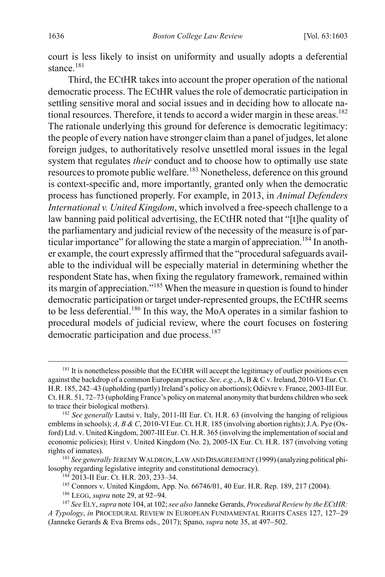court is less likely to insist on uniformity and usually adopts a deferential stance. $181$ 

Third, the ECtHR takes into account the proper operation of the national democratic process. The ECtHR values the role of democratic participation in settling sensitive moral and social issues and in deciding how to allocate national resources. Therefore, it tends to accord a wider margin in these areas.<sup>182</sup> The rationale underlying this ground for deference is democratic legitimacy: the people of every nation have stronger claim than a panel of judges, let alone foreign judges, to authoritatively resolve unsettled moral issues in the legal system that regulates *their* conduct and to choose how to optimally use state resources to promote public welfare.<sup>183</sup> Nonetheless, deference on this ground is context-specific and, more importantly, granted only when the democratic process has functioned properly. For example, in 2013, in *Animal Defenders International v. United Kingdom*, which involved a free-speech challenge to a law banning paid political advertising, the ECtHR noted that "[t]he quality of the parliamentary and judicial review of the necessity of the measure is of particular importance" for allowing the state a margin of appreciation.<sup>184</sup> In another example, the court expressly affirmed that the "procedural safeguards available to the individual will be especially material in determining whether the respondent State has, when fixing the regulatory framework, remained within its margin of appreciation."185 When the measure in question is found to hinder democratic participation or target under-represented groups, the ECtHR seems to be less deferential.<sup>186</sup> In this way, the MoA operates in a similar fashion to procedural models of judicial review, where the court focuses on fostering democratic participation and due process.<sup>187</sup>

<sup>&</sup>lt;sup>181</sup> It is nonetheless possible that the ECtHR will accept the legitimacy of outlier positions even against the backdrop of a common European practice. *See, e.g.*, A, B & C v. Ireland, 2010-VI Eur. Ct. H.R. 185, 242–43 (upholding (partly) Ireland's policy on abortions); Odièvre v. France, 2003-III Eur. Ct. H.R. 51, 72–73 (upholding France's policy on maternal anonymity that burdens children who seek to trace their biological mothers).

<sup>182</sup> *See generally* Lautsi v. Italy, 2011-III Eur. Ct. H.R. 63 (involving the hanging of religious emblems in schools); *A, B & C*, 2010-VI Eur. Ct. H.R. 185 (involving abortion rights); J.A. Pye (Oxford) Ltd. v. United Kingdom, 2007-III Eur. Ct. H.R. 365 (involving the implementation of social and economic policies); Hirst v. United Kingdom (No. 2), 2005-IX Eur. Ct. H.R. 187 (involving voting rights of inmates).

<sup>183</sup> *See generally* JEREMY WALDRON, LAW AND DISAGREEMENT (1999) (analyzing political philosophy regarding legislative integrity and constitutional democracy).

<sup>184</sup> 2013-II Eur. Ct. H.R. 203, 233–34.

<sup>185</sup> Connors v. United Kingdom, App. No. 66746/01, 40 Eur. H.R. Rep. 189, 217 (2004).

<sup>186</sup> LEGG, *supra* not[e 29,](#page-7-0) at 92−94.

<sup>187</sup> *See* ELY,*supra* not[e 104,](#page-20-2) at 102; *see also* Janneke Gerards, *Procedural Review by the ECtHR: A Typology*, *in* PROCEDURAL REVIEW IN EUROPEAN FUNDAMENTAL RIGHTS CASES 127, 127−29 (Janneke Gerards & Eva Brems eds., 2017); Spano, *supra* not[e 35,](#page-8-1) at 497−502.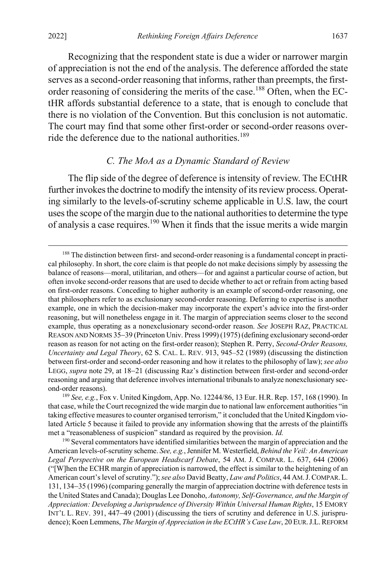Recognizing that the respondent state is due a wider or narrower margin of appreciation is not the end of the analysis. The deference afforded the state serves as a second-order reasoning that informs, rather than preempts, the firstorder reasoning of considering the merits of the case.<sup>188</sup> Often, when the ECtHR affords substantial deference to a state, that is enough to conclude that there is no violation of the Convention. But this conclusion is not automatic. The court may find that some other first-order or second-order reasons override the deference due to the national authorities.<sup>189</sup>

#### <span id="page-35-1"></span><span id="page-35-0"></span>*C. The MoA as a Dynamic Standard of Review*

The flip side of the degree of deference is intensity of review. The ECtHR further invokes the doctrine to modify the intensity of its review process. Operating similarly to the levels-of-scrutiny scheme applicable in U.S. law, the court uses the scope of the margin due to the national authorities to determine the type of analysis a case requires.190 When it finds that the issue merits a wide margin

<sup>&</sup>lt;sup>188</sup> The distinction between first- and second-order reasoning is a fundamental concept in practical philosophy. In short, the core claim is that people do not make decisions simply by assessing the balance of reasons—moral, utilitarian, and others—for and against a particular course of action, but often invoke second-order reasons that are used to decide whether to act or refrain from acting based on first-order reasons. Conceding to higher authority is an example of second-order reasoning, one that philosophers refer to as exclusionary second-order reasoning. Deferring to expertise is another example, one in which the decision-maker may incorporate the expert's advice into the first-order reasoning, but will nonetheless engage in it. The margin of appreciation seems closer to the second example, thus operating as a nonexclusionary second-order reason. *See* JOSEPH RAZ, PRACTICAL REASON AND NORMS 35−39 (Princeton Univ. Press 1999) (1975) (defining exclusionary second-order reason as reason for not acting on the first-order reason); Stephen R. Perry, *Second-Order Reasons, Uncertainty and Legal Theory*, 62 S. CAL. L. REV. 913, 945–52 (1989) (discussing the distinction between first-order and second-order reasoning and how it relates to the philosophy of law); *see also*  LEGG, *supra* note [29,](#page-7-0) at 18−21 (discussing Raz's distinction between first-order and second-order reasoning and arguing that deference involves international tribunals to analyze nonexclusionary second-order reasons).

<sup>189</sup> *See, e.g.*, Fox v. United Kingdom, App. No. 12244/86, 13 Eur. H.R. Rep. 157, 168 (1990). In that case, while the Court recognized the wide margin due to national law enforcement authorities "in taking effective measures to counter organised terrorism," it concluded that the United Kingdom violated Article 5 because it failed to provide any information showing that the arrests of the plaintiffs met a "reasonableness of suspicion" standard as required by the provision. *Id.*

<sup>&</sup>lt;sup>190</sup> Several commentators have identified similarities between the margin of appreciation and the American levels-of-scrutiny scheme. *See, e.g.*, Jennifer M. Westerfield, *Behind the Veil: An American Legal Perspective on the European Headscarf Debate*, 54 AM. J. COMPAR. L. 637, 644 (2006) ("[W]hen the ECHR margin of appreciation is narrowed, the effect is similar to the heightening of an American court's level of scrutiny.");*see also* David Beatty, *Law and Politics*, 44 AM.J.COMPAR.L. 131, 134−35 (1996) (comparing generally the margin of appreciation doctrine with deference tests in the United States and Canada); Douglas Lee Donoho, *Autonomy, Self-Governance, and the Margin of Appreciation: Developing a Jurisprudence of Diversity Within Universal Human Rights*, 15 EMORY INT'L L. REV. 391, 447−49 (2001) (discussing the tiers of scrutiny and deference in U.S. jurisprudence); Koen Lemmens, *The Margin of Appreciation in the ECtHR's Case Law*, 20 EUR.J.L.REFORM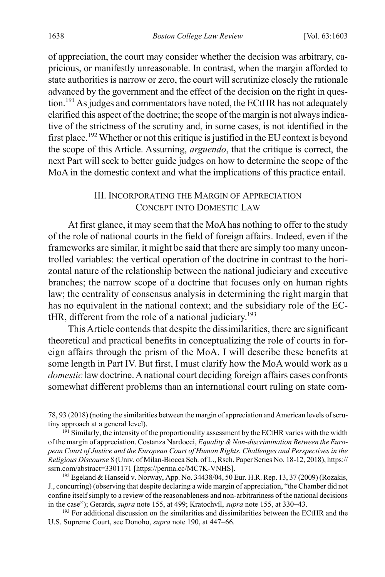of appreciation, the court may consider whether the decision was arbitrary, capricious, or manifestly unreasonable. In contrast, when the margin afforded to state authorities is narrow or zero, the court will scrutinize closely the rationale advanced by the government and the effect of the decision on the right in question.<sup>191</sup> As judges and commentators have noted, the ECtHR has not adequately clarified this aspect of the doctrine; the scope of the margin is not always indicative of the strictness of the scrutiny and, in some cases, is not identified in the first place.<sup>192</sup> Whether or not this critique is justified in the EU context is beyond the scope of this Article. Assuming, *arguendo*, that the critique is correct, the next Part will seek to better guide judges on how to determine the scope of the MoA in the domestic context and what the implications of this practice entail.

#### <span id="page-36-1"></span><span id="page-36-0"></span>III. INCORPORATING THE MARGIN OF APPRECIATION CONCEPT INTO DOMESTIC LAW

At first glance, it may seem that the MoA has nothing to offer to the study of the role of national courts in the field of foreign affairs. Indeed, even if the frameworks are similar, it might be said that there are simply too many uncontrolled variables: the vertical operation of the doctrine in contrast to the horizontal nature of the relationship between the national judiciary and executive branches; the narrow scope of a doctrine that focuses only on human rights law; the centrality of consensus analysis in determining the right margin that has no equivalent in the national context; and the subsidiary role of the EC- $HIR$ , different from the role of a national judiciary.<sup>193</sup>

This Article contends that despite the dissimilarities, there are significant theoretical and practical benefits in conceptualizing the role of courts in foreign affairs through the prism of the MoA. I will describe these benefits at some length in Part IV. But first, I must clarify how the MoA would work as a *domestic* law doctrine. A national court deciding foreign affairs cases confronts somewhat different problems than an international court ruling on state com-

 <sup>78, 93 (2018) (</sup>noting the similarities between the margin of appreciation and American levels of scrutiny approach at a general level).

<sup>&</sup>lt;sup>191</sup> Similarly, the intensity of the proportionality assessment by the ECtHR varies with the width of the margin of appreciation. Costanza Nardocci, *Equality & Non-discrimination Between the European Court of Justice and the European Court of Human Rights. Challenges and Perspectives in the Religious Discourse* 8 (Univ. of Milan-Biocca Sch. of L., Rsch. Paper Series No. 18-12, 2018), https:// ssrn.com/abstract=3301171 [https://perma.cc/MC7K-VNHS].

<sup>&</sup>lt;sup>192</sup> Egeland & Hanseid v. Norway, App. No. 34438/04, 50 Eur. H.R. Rep. 13, 37 (2009) (Rozakis, J., concurring) (observing that despite declaring a wide margin of appreciation, "the Chamber did not confine itself simply to a review of the reasonableness and non-arbitrariness of the national decisions in the case"); Gerards, *supra* not[e 155,](#page-30-0) at 499; Kratochvíl, *supra* not[e 155,](#page-30-0) at 330−43.

<sup>&</sup>lt;sup>193</sup> For additional discussion on the similarities and dissimilarities between the ECtHR and the U.S. Supreme Court, see Donoho, *supra* not[e 190,](#page-35-1) at 447−66.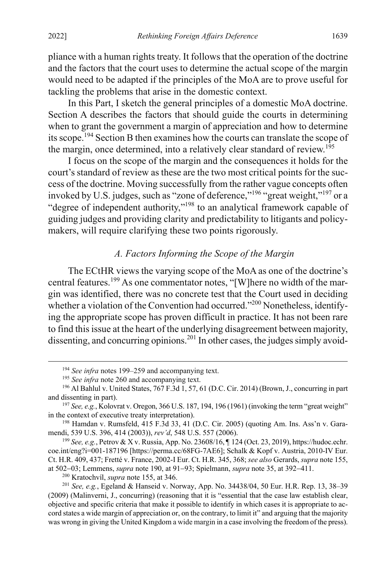pliance with a human rights treaty. It follows that the operation of the doctrine and the factors that the court uses to determine the actual scope of the margin would need to be adapted if the principles of the MoA are to prove useful for tackling the problems that arise in the domestic context.

In this Part, I sketch the general principles of a domestic MoA doctrine. Section A describes the factors that should guide the courts in determining when to grant the government a margin of appreciation and how to determine its scope.<sup>194</sup> Section B then examines how the courts can translate the scope of the margin, once determined, into a relatively clear standard of review.<sup>195</sup>

I focus on the scope of the margin and the consequences it holds for the court's standard of review as these are the two most critical points for the success of the doctrine. Moving successfully from the rather vague concepts often invoked by U.S. judges, such as "zone of deference,"<sup>196</sup> "great weight,"<sup>197</sup> or a "degree of independent authority,"198 to an analytical framework capable of guiding judges and providing clarity and predictability to litigants and policymakers, will require clarifying these two points rigorously.

### <span id="page-37-0"></span>*A. Factors Informing the Scope of the Margin*

The ECtHR views the varying scope of the MoA as one of the doctrine's central features.<sup>199</sup> As one commentator notes, "[W]here no width of the margin was identified, there was no concrete test that the Court used in deciding whether a violation of the Convention had occurred."<sup>200</sup> Nonetheless, identifying the appropriate scope has proven difficult in practice. It has not been rare to find this issue at the heart of the underlying disagreement between majority, dissenting, and concurring opinions.<sup>201</sup> In other cases, the judges simply avoid-

<sup>199</sup> *See, e.g.*, Petrov & X v. Russia, App. No. 23608/16, ¶ 124 (Oct. 23, 2019), https://hudoc.echr. coe.int/eng?i=001-187196 [https://perma.cc/68FG-7AE6]; Schalk & Kopf v. Austria, 2010-IV Eur. Ct. H.R. 409, 437; Fretté v. France, 2002-I Eur. Ct. H.R. 345, 368; *see also* Gerards, *supra* not[e 155,](#page-30-0) at 502−03; Lemmens, *supra* not[e 190,](#page-35-1) at 91−93; Spielmann, *supra* note [35,](#page-8-1) at 392−411.

<sup>200</sup> Kratochvíl, *supra* not[e 155,](#page-30-0) at 346.

<sup>201</sup> *See, e.g.*, Egeland & Hanseid v. Norway, App. No. 34438/04, 50 Eur. H.R. Rep. 13, 38–39 (2009) (Malinverni, J., concurring) (reasoning that it is "essential that the case law establish clear, objective and specific criteria that make it possible to identify in which cases it is appropriate to accord states a wide margin of appreciation or, on the contrary, to limit it" and arguing that the majority was wrong in giving the United Kingdom a wide margin in a case involving the freedom of the press).

 <sup>194</sup> *See infra* notes [199–](#page-37-0)[259](#page-48-0) and accompanying text.

<sup>&</sup>lt;sup>195</sup> See infra not[e 260](#page-49-0) and accompanying text.

<sup>196</sup> Al Bahlul v. United States, 767 F.3d 1, 57, 61 (D.C. Cir. 2014) (Brown, J., concurring in part and dissenting in part).

<sup>&</sup>lt;sup>197</sup> See, e.g., Kolovrat v. Oregon, 366 U.S. 187, 194, 196 (1961) (invoking the term "great weight" in the context of executive treaty interpretation).

<sup>198</sup> Hamdan v. Rumsfeld, 415 F.3d 33, 41 (D.C. Cir. 2005) (quoting Am. Ins. Ass'n v. Garamendi, 539 U.S. 396, 414 (2003)), *rev'd*, 548 U.S. 557 (2006).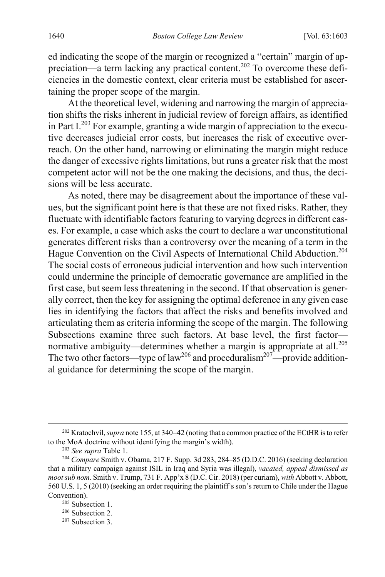ed indicating the scope of the margin or recognized a "certain" margin of appreciation—a term lacking any practical content.202 To overcome these deficiencies in the domestic context, clear criteria must be established for ascertaining the proper scope of the margin.

At the theoretical level, widening and narrowing the margin of appreciation shifts the risks inherent in judicial review of foreign affairs, as identified in Part  $I^{203}$  For example, granting a wide margin of appreciation to the executive decreases judicial error costs, but increases the risk of executive overreach. On the other hand, narrowing or eliminating the margin might reduce the danger of excessive rights limitations, but runs a greater risk that the most competent actor will not be the one making the decisions, and thus, the decisions will be less accurate.

As noted, there may be disagreement about the importance of these values, but the significant point here is that these are not fixed risks. Rather, they fluctuate with identifiable factors featuring to varying degrees in different cases. For example, a case which asks the court to declare a war unconstitutional generates different risks than a controversy over the meaning of a term in the Hague Convention on the Civil Aspects of International Child Abduction.<sup>204</sup> The social costs of erroneous judicial intervention and how such intervention could undermine the principle of democratic governance are amplified in the first case, but seem less threatening in the second. If that observation is generally correct, then the key for assigning the optimal deference in any given case lies in identifying the factors that affect the risks and benefits involved and articulating them as criteria informing the scope of the margin. The following Subsections examine three such factors. At base level, the first factor normative ambiguity—determines whether a margin is appropriate at all.<sup>205</sup> The two other factors—type of law<sup>206</sup> and proceduralism<sup>207</sup>—provide additional guidance for determining the scope of the margin.

<sup>207</sup> Subsection 3.

 <sup>202</sup> Kratochvíl, *supra* not[e 155,](#page-30-0) at 340−<sup>42</sup> (noting that a common practice of the ECtHR is to refer to the MoA doctrine without identifying the margin's width).

<sup>203</sup> *See supra* Table 1.

<sup>204</sup> *Compare* Smith v. Obama, 217 F. Supp. 3d 283, 284–85 (D.D.C. 2016) (seeking declaration that a military campaign against ISIL in Iraq and Syria was illegal), *vacated, appeal dismissed as moot sub nom.* Smith v. Trump, 731 F. App'x 8 (D.C. Cir. 2018) (per curiam), *with* Abbott v. Abbott, 560 U.S. 1, 5 (2010) (seeking an order requiring the plaintiff's son's return to Chile under the Hague Convention).

<sup>205</sup> Subsection 1.

<sup>206</sup> Subsection 2.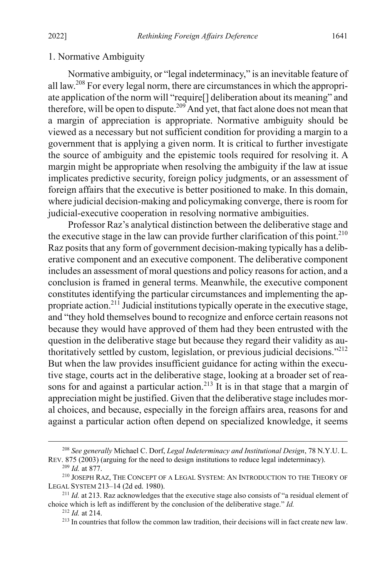#### 1. Normative Ambiguity

Normative ambiguity, or "legal indeterminacy," is an inevitable feature of all law.<sup>208</sup> For every legal norm, there are circumstances in which the appropriate application of the norm will "require[] deliberation about its meaning" and therefore, will be open to dispute.<sup>209</sup> And yet, that fact alone does not mean that a margin of appreciation is appropriate. Normative ambiguity should be viewed as a necessary but not sufficient condition for providing a margin to a government that is applying a given norm. It is critical to further investigate the source of ambiguity and the epistemic tools required for resolving it. A margin might be appropriate when resolving the ambiguity if the law at issue implicates predictive security, foreign policy judgments, or an assessment of foreign affairs that the executive is better positioned to make. In this domain, where judicial decision-making and policymaking converge, there is room for judicial-executive cooperation in resolving normative ambiguities.

Professor Raz's analytical distinction between the deliberative stage and the executive stage in the law can provide further clarification of this point.<sup>210</sup> Raz posits that any form of government decision-making typically has a deliberative component and an executive component. The deliberative component includes an assessment of moral questions and policy reasons for action, and a conclusion is framed in general terms. Meanwhile, the executive component constitutes identifying the particular circumstances and implementing the appropriate action.<sup>211</sup> Judicial institutions typically operate in the executive stage, and "they hold themselves bound to recognize and enforce certain reasons not because they would have approved of them had they been entrusted with the question in the deliberative stage but because they regard their validity as authoritatively settled by custom, legislation, or previous judicial decisions."212 But when the law provides insufficient guidance for acting within the executive stage, courts act in the deliberative stage, looking at a broader set of reasons for and against a particular action.<sup>213</sup> It is in that stage that a margin of appreciation might be justified. Given that the deliberative stage includes moral choices, and because, especially in the foreign affairs area, reasons for and against a particular action often depend on specialized knowledge, it seems

 <sup>208</sup> *See generally* Michael C. Dorf, *Legal Indeterminacy and Institutional Design*, 78 N.Y.U. L. REV. 875 (2003) (arguing for the need to design institutions to reduce legal indeterminacy).

<sup>209</sup> *Id.* at 877.

<sup>210</sup> JOSEPH RAZ, THE CONCEPT OF A LEGAL SYSTEM: AN INTRODUCTION TO THE THEORY OF LEGAL SYSTEM 213–14 (2d ed. 1980).

<sup>&</sup>lt;sup>211</sup> *Id.* at 213. Raz acknowledges that the executive stage also consists of "a residual element of choice which is left as indifferent by the conclusion of the deliberative stage." *Id.*

<sup>212</sup> *Id.* at 214.

<sup>&</sup>lt;sup>213</sup> In countries that follow the common law tradition, their decisions will in fact create new law.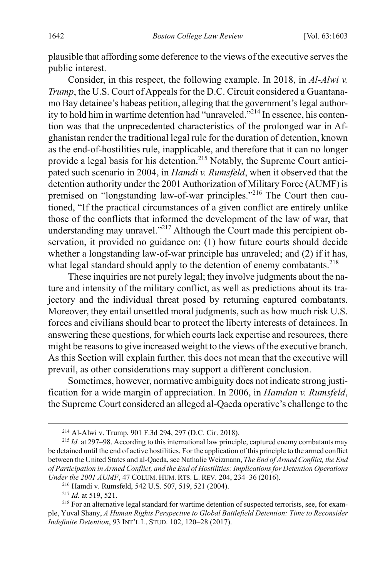plausible that affording some deference to the views of the executive servesthe public interest.

Consider, in this respect, the following example. In 2018, in *Al-Alwi v. Trump*, the U.S. Court of Appeals for the D.C. Circuit considered a Guantanamo Bay detainee's habeas petition, alleging that the government's legal authority to hold him in wartime detention had "unraveled."214 In essence, his contention was that the unprecedented characteristics of the prolonged war in Afghanistan render the traditional legal rule for the duration of detention, known as the end-of-hostilities rule, inapplicable, and therefore that it can no longer provide a legal basis for his detention. <sup>215</sup> Notably, the Supreme Court anticipated such scenario in 2004, in *Hamdi v. Rumsfeld*, when it observed that the detention authority under the 2001 Authorization of Military Force (AUMF) is premised on "longstanding law-of-war principles."216 The Court then cautioned, "If the practical circumstances of a given conflict are entirely unlike those of the conflicts that informed the development of the law of war, that understanding may unravel."<sup>217</sup> Although the Court made this percipient observation, it provided no guidance on: (1) how future courts should decide whether a longstanding law-of-war principle has unraveled; and (2) if it has, what legal standard should apply to the detention of enemy combatants.<sup>218</sup>

These inquiries are not purely legal; they involve judgments about the nature and intensity of the military conflict, as well as predictions about its trajectory and the individual threat posed by returning captured combatants. Moreover, they entail unsettled moral judgments, such as how much risk U.S. forces and civilians should bear to protect the liberty interests of detainees. In answering these questions, for which courts lack expertise and resources, there might be reasons to give increased weight to the views of the executive branch. As this Section will explain further, this does not mean that the executive will prevail, as other considerations may support a different conclusion.

Sometimes, however, normative ambiguity does not indicate strong justification for a wide margin of appreciation. In 2006, in *Hamdan v. Rumsfeld*, the Supreme Court considered an alleged al-Qaeda operative's challenge to the

 <sup>214</sup> Al-Alwi v. Trump, 901 F.3d 294, 297 (D.C. Cir. 2018).

<sup>215</sup> *Id.* at 297–98. According to this international law principle, captured enemy combatants may be detained until the end of active hostilities. For the application of this principle to the armed conflict between the United States and al-Qaeda, see Nathalie Weizmann, *The End of Armed Conflict, the End of Participation in Armed Conflict, and the End of Hostilities: Implications for Detention Operations Under the 2001 AUMF*, 47 COLUM. HUM. RTS. L. REV. 204, 234–36 (2016).

<sup>216</sup> Hamdi v. Rumsfeld, 542 U.S. 507, 519, 521 (2004).

<sup>217</sup> *Id.* at 519, 521.

<sup>&</sup>lt;sup>218</sup> For an alternative legal standard for wartime detention of suspected terrorists, see, for example, Yuval Shany, *A Human Rights Perspective to Global Battlefield Detention: Time to Reconsider Indefinite Detention*, 93 INT'L L. STUD. 102, 120−28 (2017).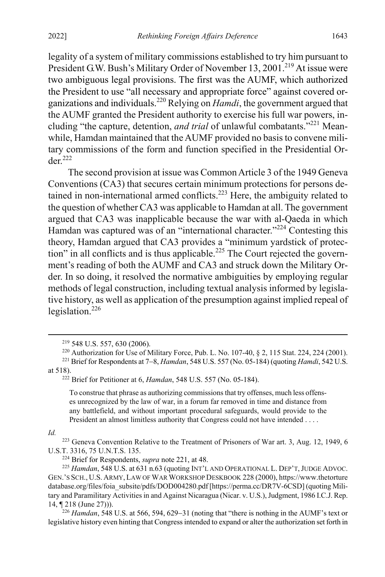legality of a system of military commissions established to try him pursuant to President G.W. Bush's Military Order of November 13, 2001.<sup>219</sup> At issue were two ambiguous legal provisions. The first was the AUMF, which authorized the President to use "all necessary and appropriate force" against covered organizations and individuals.220 Relying on *Hamdi*, the government argued that the AUMF granted the President authority to exercise his full war powers, including "the capture, detention, *and trial* of unlawful combatants."221 Meanwhile, Hamdan maintained that the AUMF provided no basis to convene military commissions of the form and function specified in the Presidential Or $der<sup>222</sup>$ 

<span id="page-41-0"></span>The second provision at issue was Common Article 3 of the 1949 Geneva Conventions (CA3) that secures certain minimum protections for persons detained in non-international armed conflicts.<sup>223</sup> Here, the ambiguity related to the question of whether CA3 was applicable to Hamdan at all. The government argued that CA3 was inapplicable because the war with al-Qaeda in which Hamdan was captured was of an "international character."<sup>224</sup> Contesting this theory, Hamdan argued that CA3 provides a "minimum yardstick of protection" in all conflicts and is thus applicable.<sup>225</sup> The Court rejected the government's reading of both the AUMF and CA3 and struck down the Military Order. In so doing, it resolved the normative ambiguities by employing regular methods of legal construction, including textual analysis informed by legislative history, as well as application of the presumption against implied repeal of legislation. $226$ 

To construe that phrase as authorizing commissions that try offenses, much less offenses unrecognized by the law of war, in a forum far removed in time and distance from any battlefield, and without important procedural safeguards, would provide to the President an almost limitless authority that Congress could not have intended . . . .

#### *Id.*

<sup>223</sup> Geneva Convention Relative to the Treatment of Prisoners of War art. 3, Aug. 12, 1949, 6 U.S.T. 3316, 75 U.N.T.S. 135.

<sup>226</sup> *Hamdan*, 548 U.S. at 566, 594, 629−31 (noting that "there is nothing in the AUMF's text or legislative history even hinting that Congress intended to expand or alter the authorization set forth in

 <sup>219</sup> 548 U.S. 557, 630 (2006).

<sup>220</sup> Authorization for Use of Military Force, Pub. L. No. 107-40, § 2, 115 Stat. 224, 224 (2001).

<sup>221</sup> Brief for Respondents at 7−8, *Hamdan*, 548 U.S. 557 (No. 05-184) (quoting *Hamdi*, 542 U.S. at 518).

<sup>222</sup> Brief for Petitioner at 6, *Hamdan*, 548 U.S. 557 (No. 05-184).

<sup>224</sup> Brief for Respondents, *supra* note [221,](#page-41-0) at 48.

<sup>&</sup>lt;sup>225</sup> *Hamdan*, 548 U.S. at 631 n.63 (quoting INT'L AND OPERATIONAL L. DEP'T, JUDGE ADVOC. GEN.'S SCH., U.S. ARMY, LAW OF WARWORKSHOP DESKBOOK 228 (2000), https://www.thetorture database.org/files/foia\_subsite/pdfs/DOD004280.pdf [https://perma.cc/DR7V-6CSD] (quoting Military and Paramilitary Activities in and Against Nicaragua (Nicar. v. U.S.), Judgment, 1986 I.C.J. Rep. 14, ¶ 218 (June 27))).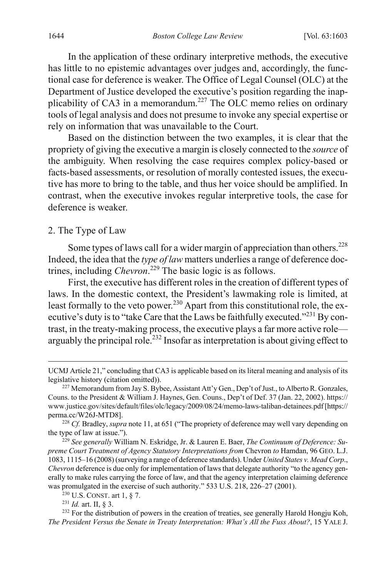In the application of these ordinary interpretive methods, the executive has little to no epistemic advantages over judges and, accordingly, the functional case for deference is weaker. The Office of Legal Counsel (OLC) at the Department of Justice developed the executive's position regarding the inapplicability of CA3 in a memorandum.<sup>227</sup> The OLC memo relies on ordinary tools of legal analysis and does not presume to invoke any special expertise or rely on information that was unavailable to the Court.

Based on the distinction between the two examples, it is clear that the propriety of giving the executive a margin is closely connected to the *source* of the ambiguity. When resolving the case requires complex policy-based or facts-based assessments, or resolution of morally contested issues, the executive has more to bring to the table, and thus her voice should be amplified. In contrast, when the executive invokes regular interpretive tools, the case for deference is weaker.

#### 2. The Type of Law

Some types of laws call for a wider margin of appreciation than others.<sup>228</sup> Indeed, the idea that the *type of law* matters underlies a range of deference doctrines, including *Chevron*. <sup>229</sup> The basic logic is as follows.

First, the executive has different roles in the creation of different types of laws. In the domestic context, the President's lawmaking role is limited, at least formally to the veto power.<sup>230</sup> Apart from this constitutional role, the executive's duty is to "take Care that the Laws be faithfully executed."<sup>231</sup> By contrast, in the treaty-making process, the executive plays a far more active role arguably the principal role.<sup>232</sup> Insofar as interpretation is about giving effect to

<span id="page-42-0"></span>UCMJ Article 21," concluding that CA3 is applicable based on its literal meaning and analysis of its legislative history (citation omitted)).

<sup>&</sup>lt;sup>227</sup> Memorandum from Jay S. Bybee, Assistant Att'y Gen., Dep't of Just., to Alberto R. Gonzales, Couns. to the President & William J. Haynes, Gen. Couns., Dep't of Def. 37 (Jan. 22, 2002). https:// www.justice.gov/sites/default/files/olc/legacy/2009/08/24/memo-laws-taliban-detainees.pdf [https:// perma.cc/W26J-MTD8].

<sup>228</sup> *Cf.* Bradley, *supra* not[e 11,](#page-4-0) at 651 ("The propriety of deference may well vary depending on the type of law at issue.").

<sup>229</sup> *See generally* William N. Eskridge, Jr. & Lauren E. Baer, *The Continuum of Deference: Supreme Court Treatment of Agency Statutory Interpretations from* Chevron *to* Hamdan, 96 GEO. L.J. 1083, 1115–16 (2008) (surveying a range of deference standards). Under *United States v. Mead Corp*., *Chevron* deference is due only for implementation of laws that delegate authority "to the agency generally to make rules carrying the force of law, and that the agency interpretation claiming deference was promulgated in the exercise of such authority." 533 U.S. 218, 226–27 (2001).

<sup>230</sup> U.S. CONST. art 1, § 7.

<sup>231</sup> *Id.* art. II, § 3.

<sup>&</sup>lt;sup>232</sup> For the distribution of powers in the creation of treaties, see generally Harold Hongju Koh, *The President Versus the Senate in Treaty Interpretation: What's All the Fuss About?*, 15 YALE J.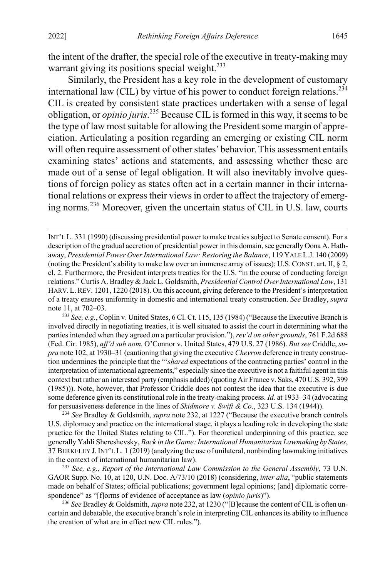the intent of the drafter, the special role of the executive in treaty-making may warrant giving its positions special weight.<sup>233</sup>

Similarly, the President has a key role in the development of customary international law (CIL) by virtue of his power to conduct foreign relations.<sup>234</sup> CIL is created by consistent state practices undertaken with a sense of legal obligation, or *opinio juris*. <sup>235</sup> Because CIL is formed in this way, it seems to be the type of law most suitable for allowing the President some margin of appreciation. Articulating a position regarding an emerging or existing CIL norm will often require assessment of other states' behavior. This assessment entails examining states' actions and statements, and assessing whether these are made out of a sense of legal obligation. It will also inevitably involve questions of foreign policy as states often act in a certain manner in their international relations or express their views in order to affect the trajectory of emerging norms.<sup>236</sup> Moreover, given the uncertain status of CIL in U.S. law, courts

<sup>233</sup> *See, e.g.*, Coplin v. United States, 6 Cl. Ct. 115, 135 (1984) ("Because the Executive Branch is involved directly in negotiating treaties, it is well situated to assist the court in determining what the parties intended when they agreed on a particular provision."), *rev'd on other grounds*, 761 F.2d 688 (Fed. Cir. 1985), *aff'd sub nom.* O'Connor v. United States, 479 U.S. 27 (1986). *But see* Criddle, *supra* not[e 102,](#page-20-0) at 1930–31 (cautioning that giving the executive *Chevron* deference in treaty construction undermines the principle that the "'*shared* expectations of the contracting parties' control in the interpretation of international agreements," especially since the executive is not a faithful agent in this context but rather an interested party (emphasis added) (quoting Air France v. Saks, 470 U.S. 392, 399 (1985))). Note, however, that Professor Criddle does not contest the idea that the executive is due some deference given its constitutional role in the treaty-making process. *Id.* at 1933–34 (advocating for persuasiveness deference in the lines of *Skidmore v. Swift & Co*., 323 U.S. 134 (1944)).

<sup>234</sup> *See* Bradley & Goldsmith, *supra* not[e 232,](#page-42-0) at 1227 ("Because the executive branch controls U.S. diplomacy and practice on the international stage, it plays a leading role in developing the state practice for the United States relating to CIL."). For theoretical underpinning of this practice, see generally Yahli Shereshevsky, *Back in the Game: International Humanitarian Lawmaking by States*, 37 BERKELEY J.INT'L L. 1 (2019) (analyzing the use of unilateral, nonbinding lawmaking initiatives in the context of international humanitarian law).

<sup>235</sup> *See, e.g.*, *Report of the International Law Commission to the General Assembly*, 73 U.N. GAOR Supp. No. 10, at 120, U.N. Doc. A/73/10 (2018) (considering, *inter alia*, "public statements made on behalf of States; official publications; government legal opinions; [and] diplomatic correspondence" as "[f]orms of evidence of acceptance as law (*opinio juris*)").

<sup>236</sup> *See* Bradley & Goldsmith, *supra* not[e 232,](#page-42-0) at 1230 ("[B]ecause the content of CIL is often uncertain and debatable, the executive branch's role in interpreting CIL enhances its ability to influence the creation of what are in effect new CIL rules.").

INT'L L. 331 (1990) (discussing presidential power to make treaties subject to Senate consent). For a description of the gradual accretion of presidential power in this domain, see generally Oona A. Hathaway, *Presidential Power Over International Law: Restoring the Balance*, 119 YALE L.J. 140 (2009) (noting the President's ability to make law over an immense array of issues); U.S.CONST. art. II, § 2, cl. 2. Furthermore, the President interprets treaties for the U.S. "in the course of conducting foreign relations." Curtis A. Bradley & Jack L. Goldsmith, *Presidential Control Over International Law*, 131 HARV.L.REV. 1201, 1220 (2018). On this account, giving deference to the President's interpretation of a treaty ensures uniformity in domestic and international treaty construction. *See* Bradley, *supra* note [11,](#page-4-0) at 702–03.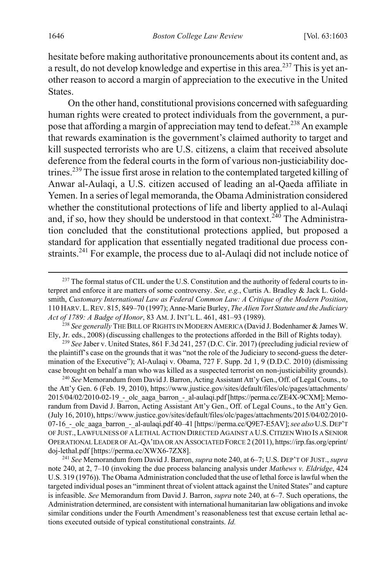hesitate before making authoritative pronouncements about its content and, as a result, do not develop knowledge and expertise in this area.<sup>237</sup> This is yet another reason to accord a margin of appreciation to the executive in the United States.

On the other hand, constitutional provisions concerned with safeguarding human rights were created to protect individuals from the government, a purpose that affording a margin of appreciation may tend to defeat.<sup>238</sup> An example that rewards examination is the government's claimed authority to target and kill suspected terrorists who are U.S. citizens, a claim that received absolute deference from the federal courts in the form of various non-justiciability doctrines.<sup>239</sup> The issue first arose in relation to the contemplated targeted killing of Anwar al-Aulaqi, a U.S. citizen accused of leading an al-Qaeda affiliate in Yemen. In a series of legal memoranda, the Obama Administration considered whether the constitutional protections of life and liberty applied to al-Aulaqi and, if so, how they should be understood in that context.<sup>240</sup> The Administration concluded that the constitutional protections applied, but proposed a standard for application that essentially negated traditional due process constraints.<sup>241</sup> For example, the process due to al-Aulaqi did not include notice of

<sup>238</sup> *See generally* THE BILL OF RIGHTS IN MODERN AMERICA (David J. Bodenhamer & James W. Ely, Jr. eds., 2008) (discussing challenges to the protections afforded in the Bill of Rights today).

<sup>239</sup> *See* Jaber v. United States, 861 F.3d 241, 257 (D.C. Cir. 2017) (precluding judicial review of the plaintiff's case on the grounds that it was "not the role of the Judiciary to second-guess the determination of the Executive"); Al-Aulaqi v. Obama, 727 F. Supp. 2d 1, 9 (D.D.C. 2010) (dismissing case brought on behalf a man who was killed as a suspected terrorist on non-justiciability grounds).

<sup>240</sup> *See* Memorandum from David J. Barron, Acting Assistant Att'y Gen., Off. of Legal Couns., to the Att'y Gen. 6 (Feb. 19, 2010), https://www.justice.gov/sites/default/files/olc/pages/attachments/ 2015/04/02/2010-02-19 - olc\_aaga\_barron\_-\_al-aulaqi.pdf [https://perma.cc/ZE4X-9CXM]; Memorandum from David J. Barron, Acting Assistant Att'y Gen., Off. of Legal Couns., to the Att'y Gen. (July 16, 2010), https://www.justice.gov/sites/default/files/olc/pages/attachments/2015/04/02/2010- 07-16\_-\_olc\_aaga\_barron\_-\_al-aulaqi.pdf 40–41 [https://perma.cc/Q9E7-E5AV]; *see also* U.S. DEP'T OF JUST., LAWFULNESS OF A LETHAL ACTION DIRECTED AGAINST A U.S.CITIZEN WHO IS A SENIOR OPERATIONAL LEADER OF AL-QA'IDA OR AN ASSOCIATED FORCE 2 (2011), https://irp.fas.org/eprint/ doj-lethal.pdf [https://perma.cc/XWX6-7ZX8].

<sup>241</sup> *See* Memorandum from David J. Barron, *supra* not[e 240,](#page-44-0) at 6–7; U.S. DEP'T OF JUST., *supra* note [240,](#page-44-0) at 2, 7–10 (invoking the due process balancing analysis under *Mathews v. Eldridge*, 424 U.S. 319 (1976)). The Obama Administration concluded that the use of lethal force is lawful when the targeted individual poses an "imminent threat of violent attack against the United States" and capture is infeasible. *See* Memorandum from David J. Barron, *supra* not[e 240,](#page-44-0) at 6–7. Such operations, the Administration determined, are consistent with international humanitarian law obligations and invoke similar conditions under the Fourth Amendment's reasonableness test that excuse certain lethal actions executed outside of typical constitutional constraints. *Id.*

<span id="page-44-0"></span> $^{237}$  The formal status of CIL under the U.S. Constitution and the authority of federal courts to interpret and enforce it are matters of some controversy. *See, e.g.*, Curtis A. Bradley & Jack L. Goldsmith, *Customary International Law as Federal Common Law: A Critique of the Modern Position*, 110 HARV.L.REV. 815, 849–70 (1997); Anne-Marie Burley, *The Alien Tort Statute and the Judiciary Act of 1789: A Badge of Honor*, 83 AM. J. INT'L L. 461, 481–93 (1989).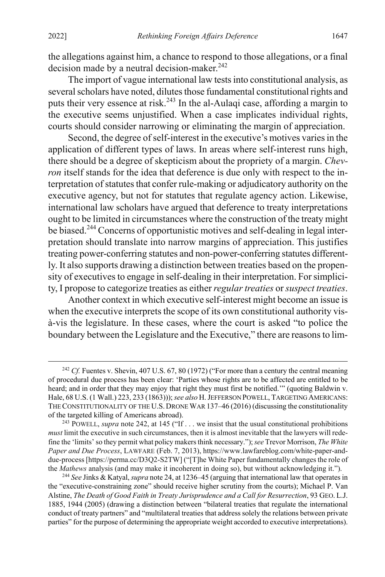<span id="page-45-0"></span>the allegations against him, a chance to respond to those allegations, or a final decision made by a neutral decision-maker. $242$ 

The import of vague international law tests into constitutional analysis, as several scholars have noted, dilutes those fundamental constitutional rights and puts their very essence at risk.<sup>243</sup> In the al-Aulaqi case, affording a margin to the executive seems unjustified. When a case implicates individual rights, courts should consider narrowing or eliminating the margin of appreciation.

Second, the degree of self-interest in the executive's motives varies in the application of different types of laws. In areas where self-interest runs high, there should be a degree of skepticism about the propriety of a margin. *Chevron* itself stands for the idea that deference is due only with respect to the interpretation of statutes that confer rule-making or adjudicatory authority on the executive agency, but not for statutes that regulate agency action. Likewise, international law scholars have argued that deference to treaty interpretations ought to be limited in circumstances where the construction of the treaty might be biased.<sup>244</sup> Concerns of opportunistic motives and self-dealing in legal interpretation should translate into narrow margins of appreciation. This justifies treating power-conferring statutes and non-power-conferring statutes differently. It also supports drawing a distinction between treaties based on the propensity of executives to engage in self-dealing in their interpretation. For simplicity, I propose to categorize treaties as either *regular treaties* or *suspect treaties*.

Another context in which executive self-interest might become an issue is when the executive interprets the scope of its own constitutional authority visà-vis the legislature. In these cases, where the court is asked "to police the boundary between the Legislature and the Executive," there are reasons to lim-

<sup>&</sup>lt;sup>242</sup> *Cf.* Fuentes v. Shevin, 407 U.S. 67, 80 (1972) ("For more than a century the central meaning of procedural due process has been clear: 'Parties whose rights are to be affected are entitled to be heard; and in order that they may enjoy that right they must first be notified.'" (quoting Baldwin v. Hale, 68 U.S. (1 Wall.) 223, 233 (1863)));*see also* H. JEFFERSON POWELL, TARGETING AMERICANS: THE CONSTITUTIONALITY OF THE U.S. DRONE WAR 137–46 (2016) (discussing the constitutionality of the targeted killing of Americans abroad).

<sup>&</sup>lt;sup>243</sup> POWELL, *supra* not[e 242,](#page-45-0) at 145 ("If . . . we insist that the usual constitutional prohibitions *must* limit the executive in such circumstances, then it is almost inevitable that the lawyers will redefine the 'limits' so they permit what policy makers think necessary.");*see* Trevor Morrison, *The White Paper and Due Process*, LAWFARE (Feb. 7, 2013), https://www.lawfareblog.com/white-paper-anddue-process [https://perma.cc/D3Q2-S2TW] ("[T]he White Paper fundamentally changes the role of the *Mathews* analysis (and may make it incoherent in doing so), but without acknowledging it.").

<sup>244</sup> *See* Jinks & Katyal, *supra* not[e 24,](#page-6-1) at 1236–45 (arguing that international law that operates in the "executive-constraining zone" should receive higher scrutiny from the courts); Michael P. Van Alstine, *The Death of Good Faith in Treaty Jurisprudence and a Call for Resurrection*, 93 GEO. L.J. 1885, 1944 (2005) (drawing a distinction between "bilateral treaties that regulate the international conduct of treaty partners" and "multilateral treaties that address solely the relations between private parties" for the purpose of determining the appropriate weight accorded to executive interpretations).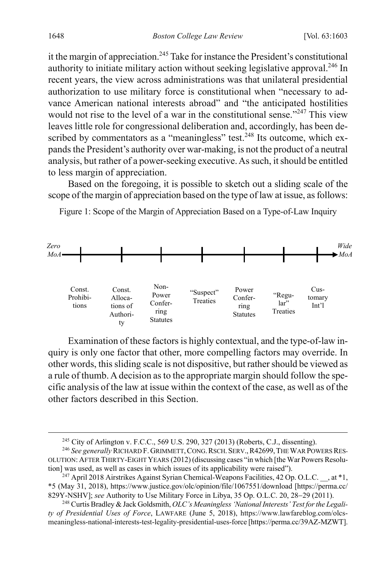it the margin of appreciation.<sup>245</sup> Take for instance the President's constitutional authority to initiate military action without seeking legislative approval.<sup>246</sup> In recent years, the view across administrations was that unilateral presidential authorization to use military force is constitutional when "necessary to advance American national interests abroad" and "the anticipated hostilities would not rise to the level of a war in the constitutional sense."<sup>247</sup> This view leaves little role for congressional deliberation and, accordingly, has been described by commentators as a "meaningless" test.<sup>248</sup> Its outcome, which expands the President's authority over war-making, is not the product of a neutral analysis, but rather of a power-seeking executive. As such, it should be entitled to less margin of appreciation.

Based on the foregoing, it is possible to sketch out a sliding scale of the scope of the margin of appreciation based on the type of law at issue, as follows:

Figure 1: Scope of the Margin of Appreciation Based on a Type-of-Law Inquiry



Examination of these factors is highly contextual, and the type-of-law inquiry is only one factor that other, more compelling factors may override. In other words, this sliding scale is not dispositive, but rather should be viewed as a rule of thumb. A decision as to the appropriate margin should follow the specific analysis of the law at issue within the context of the case, as well as of the other factors described in this Section.

<sup>&</sup>lt;sup>245</sup> City of Arlington v. F.C.C., 569 U.S. 290, 327 (2013) (Roberts, C.J., dissenting).

<sup>246</sup> *See generally* RICHARD F. GRIMMETT,CONG.RSCH.SERV.,R42699,THE WAR POWERS RES-OLUTION: AFTER THIRTY-EIGHT YEARS (2012) (discussing cases "in which [the War Powers Resolution] was used, as well as cases in which issues of its applicability were raised").

<sup>&</sup>lt;sup>247</sup> April 2018 Airstrikes Against Syrian Chemical-Weapons Facilities, 42 Op. O.L.C. , at  $*1$ , \*5 (May 31, 2018), https://www.justice.gov/olc/opinion/file/1067551/download [https://perma.cc/ 829Y-NSHV]; *see* Authority to Use Military Force in Libya, 35 Op. O.L.C. 20, 28−29 (2011).

<sup>248</sup> Curtis Bradley & Jack Goldsmith, *OLC's Meaningless 'National Interests' Test for the Legality of Presidential Uses of Force*, LAWFARE (June 5, 2018), https://www.lawfareblog.com/olcsmeaningless-national-interests-test-legality-presidential-uses-force [https://perma.cc/39AZ-MZWT].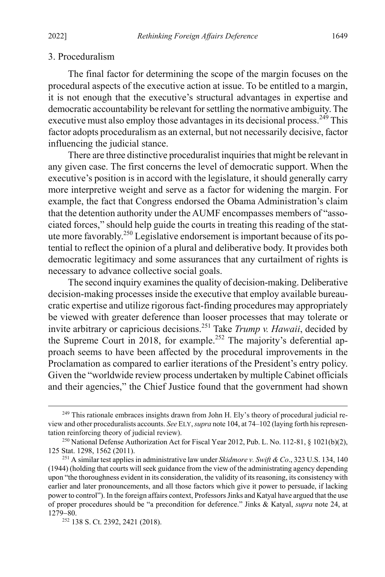#### 3. Proceduralism

The final factor for determining the scope of the margin focuses on the procedural aspects of the executive action at issue. To be entitled to a margin, it is not enough that the executive's structural advantages in expertise and democratic accountability be relevant for settling the normative ambiguity. The executive must also employ those advantages in its decisional process.<sup>249</sup> This factor adopts proceduralism as an external, but not necessarily decisive, factor influencing the judicial stance.

There are three distinctive proceduralist inquiries that might be relevant in any given case. The first concerns the level of democratic support. When the executive's position is in accord with the legislature, it should generally carry more interpretive weight and serve as a factor for widening the margin. For example, the fact that Congress endorsed the Obama Administration's claim that the detention authority under the AUMF encompasses members of "associated forces," should help guide the courts in treating this reading of the statute more favorably.250 Legislative endorsement is important because of its potential to reflect the opinion of a plural and deliberative body. It provides both democratic legitimacy and some assurances that any curtailment of rights is necessary to advance collective social goals.

The second inquiry examines the quality of decision-making. Deliberative decision-making processes inside the executive that employ available bureaucratic expertise and utilize rigorous fact-finding procedures may appropriately be viewed with greater deference than looser processes that may tolerate or invite arbitrary or capricious decisions.251 Take *Trump v. Hawaii*, decided by the Supreme Court in 2018, for example.<sup>252</sup> The majority's deferential approach seems to have been affected by the procedural improvements in the Proclamation as compared to earlier iterations of the President's entry policy. Given the "worldwide review process undertaken by multiple Cabinet officials and their agencies," the Chief Justice found that the government had shown

<sup>&</sup>lt;sup>249</sup> This rationale embraces insights drawn from John H. Ely's theory of procedural judicial review and other proceduralists accounts. *See* ELY, *supra* not[e 104,](#page-20-2) at 74–102 (laying forth his representation reinforcing theory of judicial review).

<sup>250</sup> National Defense Authorization Act for Fiscal Year 2012, Pub. L. No. 112-81, § 1021(b)(2), 125 Stat. 1298, 1562 (2011).

<sup>251</sup> A similar test applies in administrative law under *Skidmore v. Swift & Co*., 323 U.S. 134, 140 (1944) (holding that courts will seek guidance from the view of the administrating agency depending upon "the thoroughness evident in its consideration, the validity of its reasoning, its consistency with earlier and later pronouncements, and all those factors which give it power to persuade, if lacking power to control"). In the foreign affairs context, Professors Jinks and Katyal have argued that the use of proper procedures should be "a precondition for deference." Jinks & Katyal, *supra* note [24,](#page-6-1) at 1279−80.

<sup>252</sup> 138 S. Ct. 2392, 2421 (2018).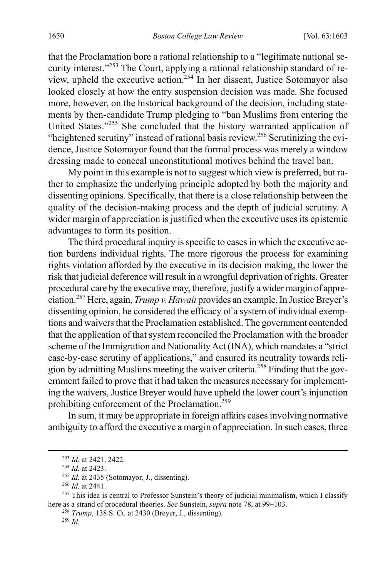that the Proclamation bore a rational relationship to a "legitimate national security interest."<sup>253</sup> The Court, applying a rational relationship standard of review, upheld the executive action.254 In her dissent, Justice Sotomayor also looked closely at how the entry suspension decision was made. She focused more, however, on the historical background of the decision, including statements by then-candidate Trump pledging to "ban Muslims from entering the United States."<sup>255</sup> She concluded that the history warranted application of "heightened scrutiny" instead of rational basis review.<sup>256</sup> Scrutinizing the evidence, Justice Sotomayor found that the formal process was merely a window dressing made to conceal unconstitutional motives behind the travel ban.

My point in this example is not to suggest which view is preferred, but rather to emphasize the underlying principle adopted by both the majority and dissenting opinions. Specifically, that there is a close relationship between the quality of the decision-making process and the depth of judicial scrutiny. A wider margin of appreciation is justified when the executive uses its epistemic advantages to form its position.

The third procedural inquiry is specific to cases in which the executive action burdens individual rights. The more rigorous the process for examining rights violation afforded by the executive in its decision making, the lower the risk that judicial deference will result in a wrongful deprivation of rights. Greater procedural care by the executive may, therefore, justify a wider margin of appreciation.257 Here, again, *Trump v. Hawaii* provides an example. In Justice Breyer's dissenting opinion, he considered the efficacy of a system of individual exemptions and waivers that the Proclamation established. The government contended that the application of that system reconciled the Proclamation with the broader scheme of the Immigration and Nationality Act (INA), which mandates a "strict case-by-case scrutiny of applications," and ensured its neutrality towards religion by admitting Muslims meeting the waiver criteria.<sup>258</sup> Finding that the government failed to prove that it had taken the measures necessary for implementing the waivers, Justice Breyer would have upheld the lower court's injunction prohibiting enforcement of the Proclamation.259

In sum, it may be appropriate in foreign affairs cases involving normative ambiguity to afford the executive a margin of appreciation. In such cases, three

<span id="page-48-0"></span> <sup>253</sup> *Id.* at 2421, 2422.

<sup>254</sup> *Id.* at 2423.

<sup>255</sup> *Id.* at 2435 (Sotomayor, J., dissenting).

<sup>256</sup> *Id.* at 2441.

 $257$  This idea is central to Professor Sunstein's theory of judicial minimalism, which I classify here as a strand of procedural theories. *See* Sunstein, *supra* not[e 78,](#page-15-1) at 99−103.

<sup>258</sup> *Trump*, 138 S. Ct. at 2430 (Breyer, J., dissenting).

<sup>259</sup> *Id.*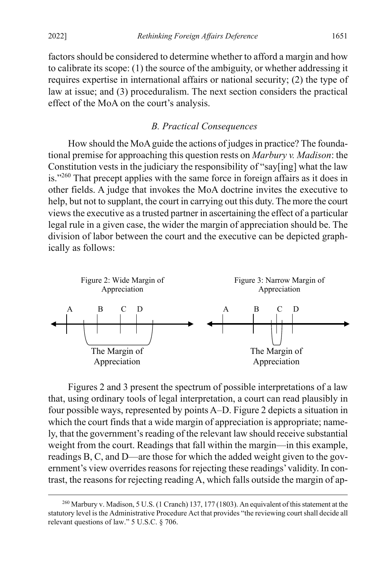factors should be considered to determine whether to afford a margin and how to calibrate its scope: (1) the source of the ambiguity, or whether addressing it requires expertise in international affairs or national security; (2) the type of law at issue; and (3) proceduralism. The next section considers the practical effect of the MoA on the court's analysis.

### *B. Practical Consequences*

<span id="page-49-0"></span>How should the MoA guide the actions of judges in practice? The foundational premise for approaching this question rests on *Marbury v. Madison*: the Constitution vests in the judiciary the responsibility of "say[ing] what the law is."<sup>260</sup> That precept applies with the same force in foreign affairs as it does in other fields. A judge that invokes the MoA doctrine invites the executive to help, but not to supplant, the court in carrying out this duty. The more the court viewsthe executive as a trusted partner in ascertaining the effect of a particular legal rule in a given case, the wider the margin of appreciation should be. The division of labor between the court and the executive can be depicted graphically as follows:



Figures 2 and 3 present the spectrum of possible interpretations of a law that, using ordinary tools of legal interpretation, a court can read plausibly in four possible ways, represented by points A–D. Figure 2 depicts a situation in which the court finds that a wide margin of appreciation is appropriate; namely, that the government's reading of the relevant law should receive substantial weight from the court. Readings that fall within the margin—in this example, readings B, C, and D—are those for which the added weight given to the government's view overrides reasons for rejecting these readings' validity. In contrast, the reasons for rejecting reading A, which falls outside the margin of ap-

<sup>&</sup>lt;sup>260</sup> Marbury v. Madison, 5 U.S. (1 Cranch) 137, 177 (1803). An equivalent of this statement at the statutory level is the Administrative Procedure Act that provides "the reviewing court shall decide all relevant questions of law." 5 U.S.C. § 706.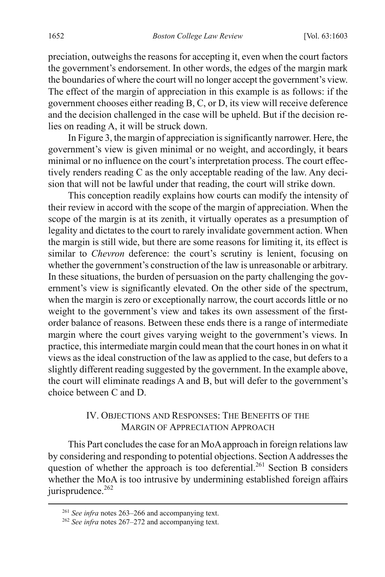preciation, outweighs the reasons for accepting it, even when the court factors the government's endorsement. In other words, the edges of the margin mark the boundaries of where the court will no longer accept the government's view. The effect of the margin of appreciation in this example is as follows: if the government chooses either reading B, C, or D, its view will receive deference and the decision challenged in the case will be upheld. But if the decision relies on reading A, it will be struck down.

In Figure 3, the margin of appreciation is significantly narrower. Here, the government's view is given minimal or no weight, and accordingly, it bears minimal or no influence on the court's interpretation process. The court effectively renders reading C as the only acceptable reading of the law. Any decision that will not be lawful under that reading, the court will strike down.

This conception readily explains how courts can modify the intensity of their review in accord with the scope of the margin of appreciation. When the scope of the margin is at its zenith, it virtually operates as a presumption of legality and dictates to the court to rarely invalidate government action. When the margin is still wide, but there are some reasons for limiting it, its effect is similar to *Chevron* deference: the court's scrutiny is lenient, focusing on whether the government's construction of the law is unreasonable or arbitrary. In these situations, the burden of persuasion on the party challenging the government's view is significantly elevated. On the other side of the spectrum, when the margin is zero or exceptionally narrow, the court accords little or no weight to the government's view and takes its own assessment of the firstorder balance of reasons. Between these ends there is a range of intermediate margin where the court gives varying weight to the government's views. In practice, this intermediate margin could mean that the court hones in on what it views as the ideal construction of the law as applied to the case, but defers to a slightly different reading suggested by the government. In the example above, the court will eliminate readings A and B, but will defer to the government's choice between C and D.

### <span id="page-50-0"></span>IV. OBJECTIONS AND RESPONSES: THE BENEFITS OF THE MARGIN OF APPRECIATION APPROACH

This Part concludes the case for an MoAapproach in foreign relations law by considering and responding to potential objections. Section Aaddressesthe question of whether the approach is too deferential.<sup>261</sup> Section B considers whether the MoA is too intrusive by undermining established foreign affairs jurisprudence.<sup>262</sup>

 <sup>261</sup> *See infra* notes [263–](#page-51-0)[266](#page-51-1) and accompanying text.

<sup>262</sup> *See infra* notes [267–](#page-52-0)[272](#page-53-0) and accompanying text.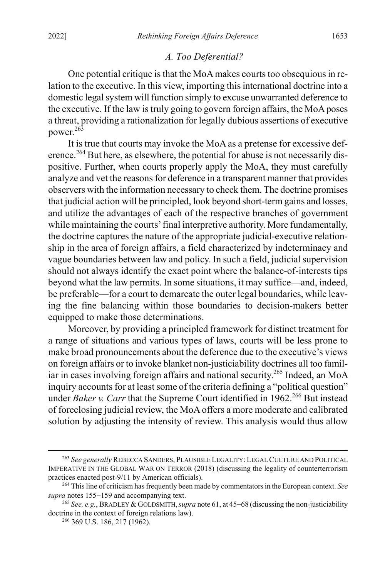#### *A. Too Deferential?*

One potential critique is that the MoA makes courts too obsequious in relation to the executive. In this view, importing this international doctrine into a domestic legal system will function simply to excuse unwarranted deference to the executive. If the law is truly going to govern foreign affairs, the MoA poses a threat, providing a rationalization for legally dubious assertions of executive power.<sup>263</sup>

<span id="page-51-0"></span>It is true that courts may invoke the MoA as a pretense for excessive deference.<sup>264</sup> But here, as elsewhere, the potential for abuse is not necessarily dispositive. Further, when courts properly apply the MoA, they must carefully analyze and vet the reasons for deference in a transparent manner that provides observers with the information necessary to check them. The doctrine promises that judicial action will be principled, look beyond short-term gains and losses, and utilize the advantages of each of the respective branches of government while maintaining the courts' final interpretive authority. More fundamentally, the doctrine captures the nature of the appropriate judicial-executive relationship in the area of foreign affairs, a field characterized by indeterminacy and vague boundaries between law and policy. In such a field, judicial supervision should not always identify the exact point where the balance-of-interests tips beyond what the law permits. In some situations, it may suffice—and, indeed, be preferable—for a court to demarcate the outer legal boundaries, while leaving the fine balancing within those boundaries to decision-makers better equipped to make those determinations.

Moreover, by providing a principled framework for distinct treatment for a range of situations and various types of laws, courts will be less prone to make broad pronouncements about the deference due to the executive's views on foreign affairs or to invoke blanket non-justiciability doctrines all too familiar in cases involving foreign affairs and national security. <sup>265</sup> Indeed, an MoA inquiry accounts for at least some of the criteria defining a "political question" under *Baker v. Carr* that the Supreme Court identified in 1962. <sup>266</sup> But instead of foreclosing judicial review, the MoA offers a more moderate and calibrated solution by adjusting the intensity of review. This analysis would thus allow

<span id="page-51-1"></span> <sup>263</sup> *See generally* REBECCA SANDERS, PLAUSIBLE LEGALITY: LEGAL CULTURE AND POLITICAL IMPERATIVE IN THE GLOBAL WAR ON TERROR (2018) (discussing the legality of counterterrorism practices enacted post-9/11 by American officials).

<sup>264</sup> This line of criticism has frequently been made by commentators in the European context. *See supra* note[s 155](#page-30-0)−[159](#page-30-3) and accompanying text.

<sup>265</sup> *See, e.g.*, BRADLEY &GOLDSMITH,*supra* not[e 61,](#page-13-1) at 45−68 (discussing the non-justiciability doctrine in the context of foreign relations law).

<sup>266</sup> 369 U.S. 186, 217 (1962).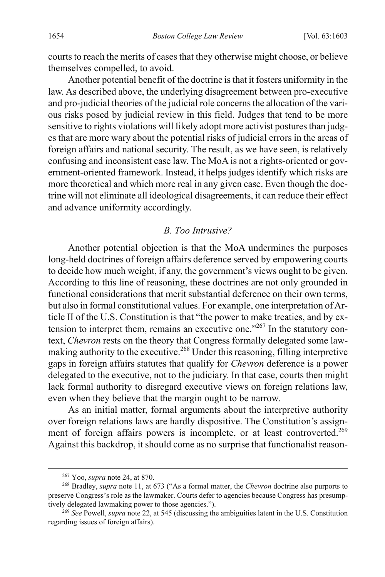courts to reach the merits of cases that they otherwise might choose, or believe themselves compelled, to avoid.

Another potential benefit of the doctrine is that it fosters uniformity in the law. As described above, the underlying disagreement between pro-executive and pro-judicial theories of the judicial role concerns the allocation of the various risks posed by judicial review in this field. Judges that tend to be more sensitive to rights violations will likely adopt more activist postures than judges that are more wary about the potential risks of judicial errors in the areas of foreign affairs and national security. The result, as we have seen, is relatively confusing and inconsistent case law. The MoA is not a rights-oriented or government-oriented framework. Instead, it helps judges identify which risks are more theoretical and which more real in any given case. Even though the doctrine will not eliminate all ideological disagreements, it can reduce their effect and advance uniformity accordingly.

#### <span id="page-52-0"></span>*B. Too Intrusive?*

Another potential objection is that the MoA undermines the purposes long-held doctrines of foreign affairs deference served by empowering courts to decide how much weight, if any, the government's views ought to be given. According to this line of reasoning, these doctrines are not only grounded in functional considerations that merit substantial deference on their own terms, but also in formal constitutional values. For example, one interpretation of Article II of the U.S. Constitution is that "the power to make treaties, and by extension to interpret them, remains an executive one."267 In the statutory context, *Chevron* rests on the theory that Congress formally delegated some lawmaking authority to the executive.268 Under this reasoning, filling interpretive gaps in foreign affairs statutes that qualify for *Chevron* deference is a power delegated to the executive, not to the judiciary. In that case, courts then might lack formal authority to disregard executive views on foreign relations law, even when they believe that the margin ought to be narrow.

As an initial matter, formal arguments about the interpretive authority over foreign relations laws are hardly dispositive. The Constitution's assignment of foreign affairs powers is incomplete, or at least controverted.<sup>269</sup> Against this backdrop, it should come as no surprise that functionalist reason-

 <sup>267</sup> Yoo, *supra* not[e 24,](#page-6-1) at 870.

<sup>268</sup> Bradley, *supra* not[e 11,](#page-4-0) at 673 ("As a formal matter, the *Chevron* doctrine also purports to preserve Congress's role as the lawmaker. Courts defer to agencies because Congress has presumptively delegated lawmaking power to those agencies.").

<sup>269</sup> *See* Powell, *supra* note [22,](#page-6-0) at 545 (discussing the ambiguities latent in the U.S. Constitution regarding issues of foreign affairs).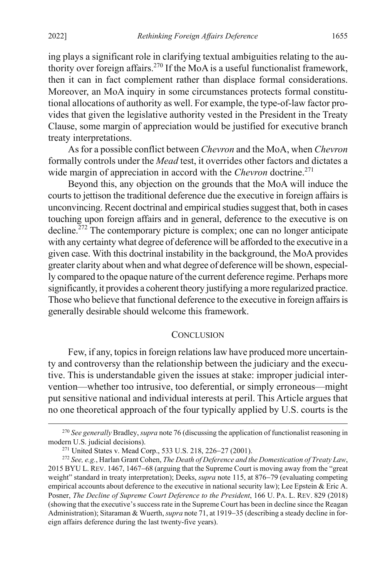ing plays a significant role in clarifying textual ambiguities relating to the authority over foreign affairs.270 If the MoA is a useful functionalist framework, then it can in fact complement rather than displace formal considerations. Moreover, an MoA inquiry in some circumstances protects formal constitutional allocations of authority as well. For example, the type-of-law factor provides that given the legislative authority vested in the President in the Treaty Clause, some margin of appreciation would be justified for executive branch treaty interpretations.

As for a possible conflict between *Chevron* and the MoA, when *Chevron* formally controls under the *Mead* test, it overrides other factors and dictates a wide margin of appreciation in accord with the *Chevron* doctrine.<sup>271</sup>

<span id="page-53-0"></span>Beyond this, any objection on the grounds that the MoA will induce the courts to jettison the traditional deference due the executive in foreign affairs is unconvincing. Recent doctrinal and empirical studies suggest that, both in cases touching upon foreign affairs and in general, deference to the executive is on  $\text{decline.}^{272}$  The contemporary picture is complex; one can no longer anticipate with any certainty what degree of deference will be afforded to the executive in a given case. With this doctrinal instability in the background, the MoA provides greater clarity about when and what degree of deference will be shown, especially compared to the opaque nature of the current deference regime. Perhaps more significantly, it provides a coherent theory justifying a more regularized practice. Those who believe that functional deference to the executive in foreign affairs is generally desirable should welcome this framework.

#### **CONCLUSION**

Few, if any, topics in foreign relations law have produced more uncertainty and controversy than the relationship between the judiciary and the executive. This is understandable given the issues at stake: improper judicial intervention—whether too intrusive, too deferential, or simply erroneous—might put sensitive national and individual interests at peril. This Article argues that no one theoretical approach of the four typically applied by U.S. courts is the

 <sup>270</sup> *See generally* Bradley,*supra* not[e 76](#page-15-2) (discussing the application of functionalist reasoning in modern U.S. judicial decisions).

<sup>271</sup> United States v. Mead Corp., 533 U.S. 218, 226−27 (2001).

<sup>272</sup> *See, e.g.*, Harlan Grant Cohen, *The Death of Deference and the Domestication of Treaty Law*, 2015 BYU L. REV. 1467, 1467−68 (arguing that the Supreme Court is moving away from the "great weight" standard in treaty interpretation); Deeks, *supra* note [115,](#page-23-1) at 876−79 (evaluating competing empirical accounts about deference to the executive in national security law); Lee Epstein & Eric A. Posner, *The Decline of Supreme Court Deference to the President*, 166 U. PA. L. REV. 829 (2018) (showing that the executive's success rate in the Supreme Court has been in decline since the Reagan Administration); Sitaraman & Wuerth, *supra* not[e 71,](#page-15-0) at 1919−35 (describing a steady decline in foreign affairs deference during the last twenty-five years).